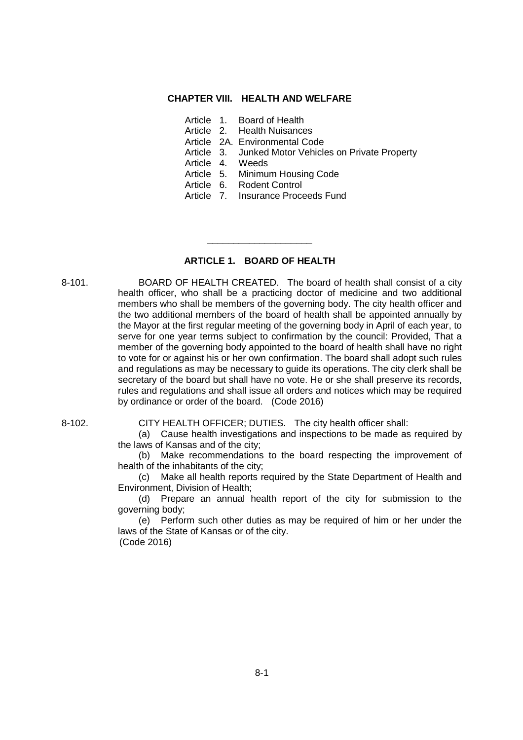#### **CHAPTER VIII. HEALTH AND WELFARE**

- Article 1. Board of Health
- Article 2. Health Nuisances
- Article 2A. Environmental Code<br>Article 3. Junked Motor Vehicle
- Junked Motor Vehicles on Private Property
- Article 4. Weeds
- Article 5. Minimum Housing Code
- Article 6. Rodent Control
- Article 7. Insurance Proceeds Fund

# **ARTICLE 1. BOARD OF HEALTH**

\_\_\_\_\_\_\_\_\_\_\_\_\_\_\_\_\_\_\_\_

8-101. BOARD OF HEALTH CREATED. The board of health shall consist of a city health officer, who shall be a practicing doctor of medicine and two additional members who shall be members of the governing body. The city health officer and the two additional members of the board of health shall be appointed annually by the Mayor at the first regular meeting of the governing body in April of each year, to serve for one year terms subject to confirmation by the council: Provided, That a member of the governing body appointed to the board of health shall have no right to vote for or against his or her own confirmation. The board shall adopt such rules and regulations as may be necessary to guide its operations. The city clerk shall be secretary of the board but shall have no vote. He or she shall preserve its records, rules and regulations and shall issue all orders and notices which may be required by ordinance or order of the board. (Code 2016)

8-102. CITY HEALTH OFFICER; DUTIES. The city health officer shall:

(a) Cause health investigations and inspections to be made as required by the laws of Kansas and of the city;

(b) Make recommendations to the board respecting the improvement of health of the inhabitants of the city;

(c) Make all health reports required by the State Department of Health and Environment, Division of Health;

(d) Prepare an annual health report of the city for submission to the governing body;

(e) Perform such other duties as may be required of him or her under the laws of the State of Kansas or of the city. (Code 2016)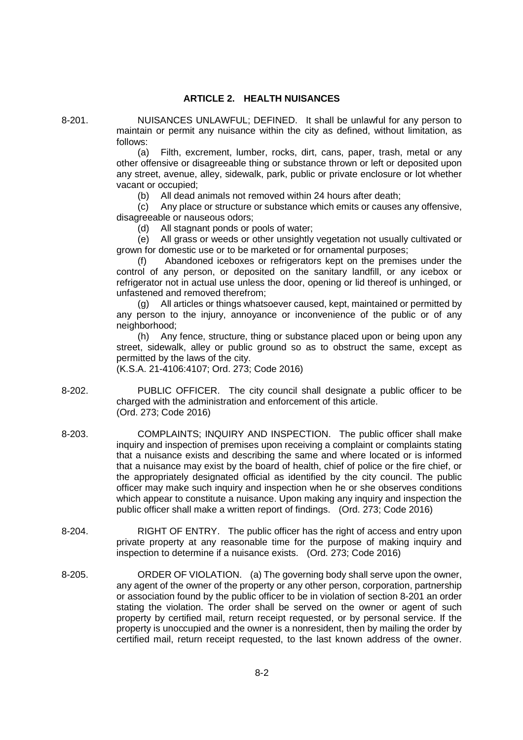## **ARTICLE 2. HEALTH NUISANCES**

8-201. NUISANCES UNLAWFUL; DEFINED. It shall be unlawful for any person to maintain or permit any nuisance within the city as defined, without limitation, as follows:

> (a) Filth, excrement, lumber, rocks, dirt, cans, paper, trash, metal or any other offensive or disagreeable thing or substance thrown or left or deposited upon any street, avenue, alley, sidewalk, park, public or private enclosure or lot whether vacant or occupied;

(b) All dead animals not removed within 24 hours after death;

(c) Any place or structure or substance which emits or causes any offensive, disagreeable or nauseous odors;

(d) All stagnant ponds or pools of water;

(e) All grass or weeds or other unsightly vegetation not usually cultivated or grown for domestic use or to be marketed or for ornamental purposes;

(f) Abandoned iceboxes or refrigerators kept on the premises under the control of any person, or deposited on the sanitary landfill, or any icebox or refrigerator not in actual use unless the door, opening or lid thereof is unhinged, or unfastened and removed therefrom;

(g) All articles or things whatsoever caused, kept, maintained or permitted by any person to the injury, annoyance or inconvenience of the public or of any neighborhood;

(h) Any fence, structure, thing or substance placed upon or being upon any street, sidewalk, alley or public ground so as to obstruct the same, except as permitted by the laws of the city.

(K.S.A. 21-4106:4107; Ord. 273; Code 2016)

- 8-202. PUBLIC OFFICER. The city council shall designate a public officer to be charged with the administration and enforcement of this article. (Ord. 273; Code 2016)
- 8-203. COMPLAINTS; INQUIRY AND INSPECTION. The public officer shall make inquiry and inspection of premises upon receiving a complaint or complaints stating that a nuisance exists and describing the same and where located or is informed that a nuisance may exist by the board of health, chief of police or the fire chief, or the appropriately designated official as identified by the city council. The public officer may make such inquiry and inspection when he or she observes conditions which appear to constitute a nuisance. Upon making any inquiry and inspection the public officer shall make a written report of findings. (Ord. 273; Code 2016)
- 8-204. RIGHT OF ENTRY. The public officer has the right of access and entry upon private property at any reasonable time for the purpose of making inquiry and inspection to determine if a nuisance exists. (Ord. 273; Code 2016)
- 8-205. ORDER OF VIOLATION. (a) The governing body shall serve upon the owner, any agent of the owner of the property or any other person, corporation, partnership or association found by the public officer to be in violation of section 8-201 an order stating the violation. The order shall be served on the owner or agent of such property by certified mail, return receipt requested, or by personal service. If the property is unoccupied and the owner is a nonresident, then by mailing the order by certified mail, return receipt requested, to the last known address of the owner.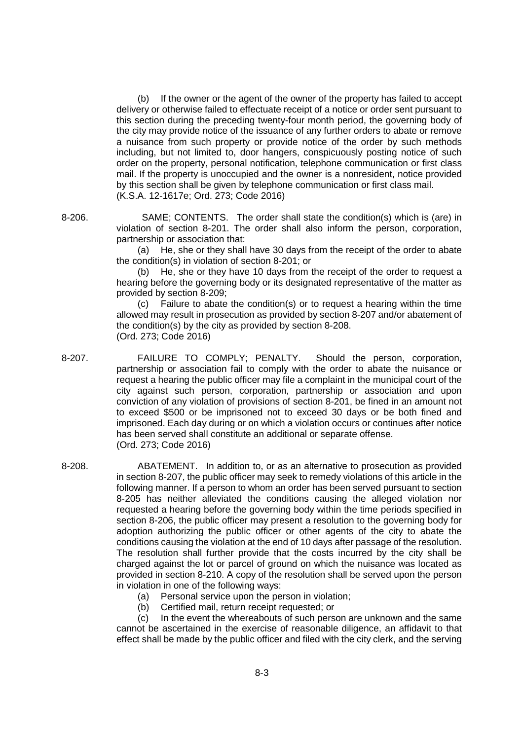(b) If the owner or the agent of the owner of the property has failed to accept delivery or otherwise failed to effectuate receipt of a notice or order sent pursuant to this section during the preceding twenty-four month period, the governing body of the city may provide notice of the issuance of any further orders to abate or remove a nuisance from such property or provide notice of the order by such methods including, but not limited to, door hangers, conspicuously posting notice of such order on the property, personal notification, telephone communication or first class mail. If the property is unoccupied and the owner is a nonresident, notice provided by this section shall be given by telephone communication or first class mail. (K.S.A. 12-1617e; Ord. 273; Code 2016)

8-206. SAME; CONTENTS. The order shall state the condition(s) which is (are) in violation of section 8-201. The order shall also inform the person, corporation, partnership or association that:

> (a) He, she or they shall have 30 days from the receipt of the order to abate the condition(s) in violation of section 8-201; or

> (b) He, she or they have 10 days from the receipt of the order to request a hearing before the governing body or its designated representative of the matter as provided by section 8-209;

> (c) Failure to abate the condition(s) or to request a hearing within the time allowed may result in prosecution as provided by section 8-207 and/or abatement of the condition(s) by the city as provided by section 8-208. (Ord. 273; Code 2016)

- 8-207. FAILURE TO COMPLY; PENALTY. Should the person, corporation, partnership or association fail to comply with the order to abate the nuisance or request a hearing the public officer may file a complaint in the municipal court of the city against such person, corporation, partnership or association and upon conviction of any violation of provisions of section 8-201, be fined in an amount not to exceed \$500 or be imprisoned not to exceed 30 days or be both fined and imprisoned. Each day during or on which a violation occurs or continues after notice has been served shall constitute an additional or separate offense. (Ord. 273; Code 2016)
- 8-208. ABATEMENT. In addition to, or as an alternative to prosecution as provided in section 8-207, the public officer may seek to remedy violations of this article in the following manner. If a person to whom an order has been served pursuant to section 8-205 has neither alleviated the conditions causing the alleged violation nor requested a hearing before the governing body within the time periods specified in section 8-206, the public officer may present a resolution to the governing body for adoption authorizing the public officer or other agents of the city to abate the conditions causing the violation at the end of 10 days after passage of the resolution. The resolution shall further provide that the costs incurred by the city shall be charged against the lot or parcel of ground on which the nuisance was located as provided in section 8-210. A copy of the resolution shall be served upon the person in violation in one of the following ways:
	- (a) Personal service upon the person in violation;
	- (b) Certified mail, return receipt requested; or

(c) In the event the whereabouts of such person are unknown and the same cannot be ascertained in the exercise of reasonable diligence, an affidavit to that effect shall be made by the public officer and filed with the city clerk, and the serving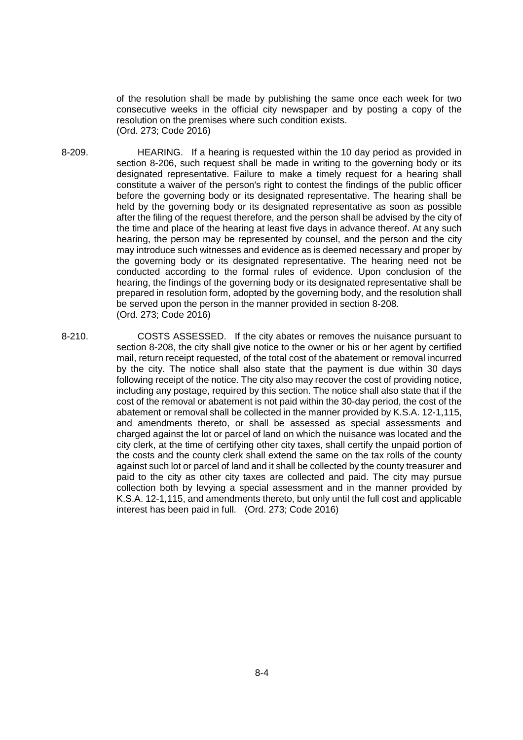of the resolution shall be made by publishing the same once each week for two consecutive weeks in the official city newspaper and by posting a copy of the resolution on the premises where such condition exists. (Ord. 273; Code 2016)

- 8-209. HEARING. If a hearing is requested within the 10 day period as provided in section 8-206, such request shall be made in writing to the governing body or its designated representative. Failure to make a timely request for a hearing shall constitute a waiver of the person's right to contest the findings of the public officer before the governing body or its designated representative. The hearing shall be held by the governing body or its designated representative as soon as possible after the filing of the request therefore, and the person shall be advised by the city of the time and place of the hearing at least five days in advance thereof. At any such hearing, the person may be represented by counsel, and the person and the city may introduce such witnesses and evidence as is deemed necessary and proper by the governing body or its designated representative. The hearing need not be conducted according to the formal rules of evidence. Upon conclusion of the hearing, the findings of the governing body or its designated representative shall be prepared in resolution form, adopted by the governing body, and the resolution shall be served upon the person in the manner provided in section 8-208. (Ord. 273; Code 2016)
- 8-210. COSTS ASSESSED. If the city abates or removes the nuisance pursuant to section 8-208, the city shall give notice to the owner or his or her agent by certified mail, return receipt requested, of the total cost of the abatement or removal incurred by the city. The notice shall also state that the payment is due within 30 days following receipt of the notice. The city also may recover the cost of providing notice, including any postage, required by this section. The notice shall also state that if the cost of the removal or abatement is not paid within the 30-day period, the cost of the abatement or removal shall be collected in the manner provided by K.S.A. 12-1,115, and amendments thereto, or shall be assessed as special assessments and charged against the lot or parcel of land on which the nuisance was located and the city clerk, at the time of certifying other city taxes, shall certify the unpaid portion of the costs and the county clerk shall extend the same on the tax rolls of the county against such lot or parcel of land and it shall be collected by the county treasurer and paid to the city as other city taxes are collected and paid. The city may pursue collection both by levying a special assessment and in the manner provided by K.S.A. 12-1,115, and amendments thereto, but only until the full cost and applicable interest has been paid in full. (Ord. 273; Code 2016)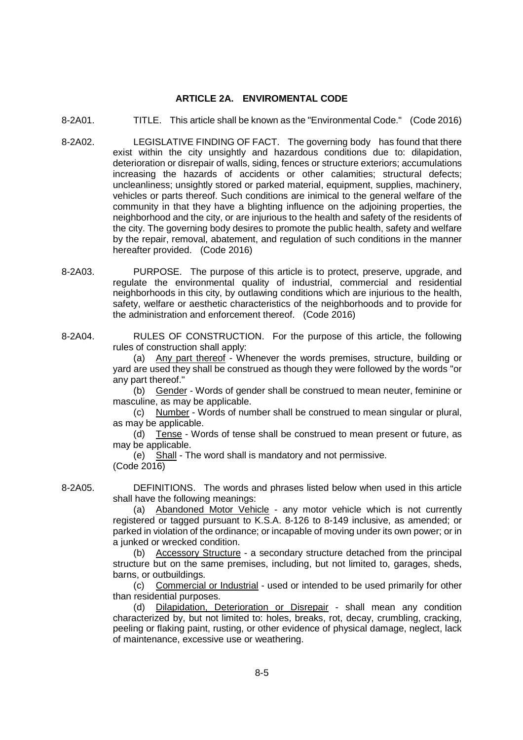### **ARTICLE 2A. ENVIROMENTAL CODE**

- 8-2A01. TITLE. This article shall be known as the "Environmental Code." (Code 2016)
- 8-2A02. LEGISLATIVE FINDING OF FACT. The governing body has found that there exist within the city unsightly and hazardous conditions due to: dilapidation, deterioration or disrepair of walls, siding, fences or structure exteriors; accumulations increasing the hazards of accidents or other calamities; structural defects; uncleanliness; unsightly stored or parked material, equipment, supplies, machinery, vehicles or parts thereof. Such conditions are inimical to the general welfare of the community in that they have a blighting influence on the adjoining properties, the neighborhood and the city, or are injurious to the health and safety of the residents of the city. The governing body desires to promote the public health, safety and welfare by the repair, removal, abatement, and regulation of such conditions in the manner hereafter provided. (Code 2016)
- 8-2A03. PURPOSE. The purpose of this article is to protect, preserve, upgrade, and regulate the environmental quality of industrial, commercial and residential neighborhoods in this city, by outlawing conditions which are injurious to the health, safety, welfare or aesthetic characteristics of the neighborhoods and to provide for the administration and enforcement thereof. (Code 2016)
- 8-2A04. RULES OF CONSTRUCTION. For the purpose of this article, the following rules of construction shall apply:

(a) Any part thereof - Whenever the words premises, structure, building or yard are used they shall be construed as though they were followed by the words "or any part thereof."

(b) Gender - Words of gender shall be construed to mean neuter, feminine or masculine, as may be applicable.

(c) Number - Words of number shall be construed to mean singular or plural, as may be applicable.

(d) Tense - Words of tense shall be construed to mean present or future, as may be applicable.

(e) Shall - The word shall is mandatory and not permissive. (Code 2016)

8-2A05. DEFINITIONS. The words and phrases listed below when used in this article shall have the following meanings:

(a) Abandoned Motor Vehicle - any motor vehicle which is not currently registered or tagged pursuant to K.S.A. 8-126 to 8-149 inclusive, as amended; or parked in violation of the ordinance; or incapable of moving under its own power; or in a junked or wrecked condition.

(b) Accessory Structure - a secondary structure detached from the principal structure but on the same premises, including, but not limited to, garages, sheds, barns, or outbuildings.

(c) Commercial or Industrial - used or intended to be used primarily for other than residential purposes.

(d) Dilapidation, Deterioration or Disrepair - shall mean any condition characterized by, but not limited to: holes, breaks, rot, decay, crumbling, cracking, peeling or flaking paint, rusting, or other evidence of physical damage, neglect, lack of maintenance, excessive use or weathering.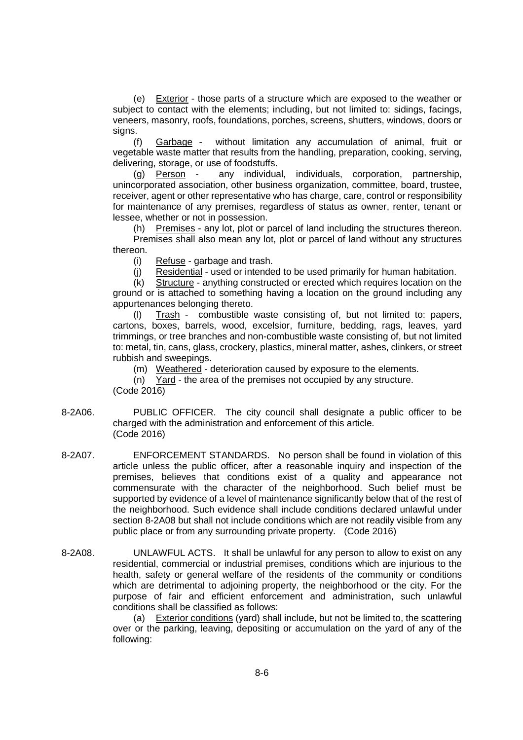(e) Exterior - those parts of a structure which are exposed to the weather or subject to contact with the elements; including, but not limited to: sidings, facings, veneers, masonry, roofs, foundations, porches, screens, shutters, windows, doors or sians.

(f) Garbage - without limitation any accumulation of animal, fruit or vegetable waste matter that results from the handling, preparation, cooking, serving, delivering, storage, or use of foodstuffs.

(g) Person - any individual, individuals, corporation, partnership, unincorporated association, other business organization, committee, board, trustee, receiver, agent or other representative who has charge, care, control or responsibility for maintenance of any premises, regardless of status as owner, renter, tenant or lessee, whether or not in possession.

(h) Premises - any lot, plot or parcel of land including the structures thereon. Premises shall also mean any lot, plot or parcel of land without any structures thereon.

(i) Refuse - garbage and trash.

(j) Residential - used or intended to be used primarily for human habitation.

(k) Structure - anything constructed or erected which requires location on the ground or is attached to something having a location on the ground including any appurtenances belonging thereto.

(l) Trash - combustible waste consisting of, but not limited to: papers, cartons, boxes, barrels, wood, excelsior, furniture, bedding, rags, leaves, yard trimmings, or tree branches and non-combustible waste consisting of, but not limited to: metal, tin, cans, glass, crockery, plastics, mineral matter, ashes, clinkers, or street rubbish and sweepings.

(m) Weathered - deterioration caused by exposure to the elements.

(n) Yard - the area of the premises not occupied by any structure.

(Code 2016)

- 8-2A06. PUBLIC OFFICER. The city council shall designate a public officer to be charged with the administration and enforcement of this article. (Code 2016)
- 8-2A07. ENFORCEMENT STANDARDS. No person shall be found in violation of this article unless the public officer, after a reasonable inquiry and inspection of the premises, believes that conditions exist of a quality and appearance not commensurate with the character of the neighborhood. Such belief must be supported by evidence of a level of maintenance significantly below that of the rest of the neighborhood. Such evidence shall include conditions declared unlawful under section 8-2A08 but shall not include conditions which are not readily visible from any public place or from any surrounding private property. (Code 2016)
- 8-2A08. UNLAWFUL ACTS. It shall be unlawful for any person to allow to exist on any residential, commercial or industrial premises, conditions which are injurious to the health, safety or general welfare of the residents of the community or conditions which are detrimental to adjoining property, the neighborhood or the city. For the purpose of fair and efficient enforcement and administration, such unlawful conditions shall be classified as follows:

(a) Exterior conditions (yard) shall include, but not be limited to, the scattering over or the parking, leaving, depositing or accumulation on the yard of any of the following: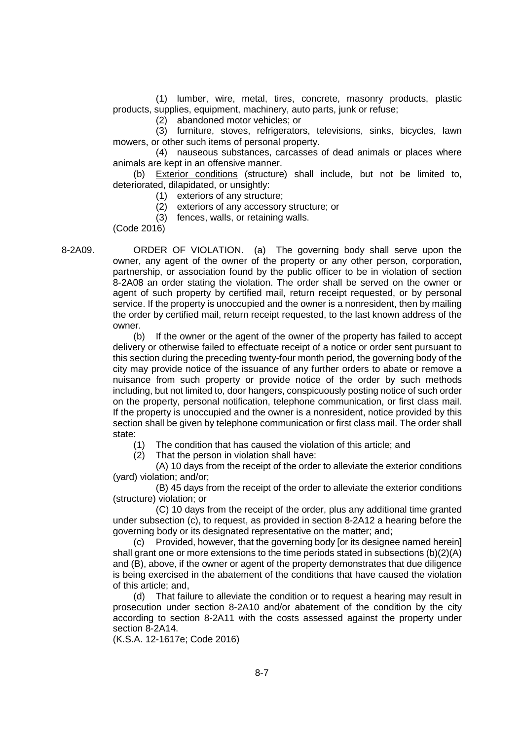(1) lumber, wire, metal, tires, concrete, masonry products, plastic products, supplies, equipment, machinery, auto parts, junk or refuse;

(2) abandoned motor vehicles; or

(3) furniture, stoves, refrigerators, televisions, sinks, bicycles, lawn mowers, or other such items of personal property.

(4) nauseous substances, carcasses of dead animals or places where animals are kept in an offensive manner.

(b) Exterior conditions (structure) shall include, but not be limited to, deteriorated, dilapidated, or unsightly:

(1) exteriors of any structure;

(2) exteriors of any accessory structure; or

(3) fences, walls, or retaining walls.

(Code 2016)

8-2A09. ORDER OF VIOLATION. (a) The governing body shall serve upon the owner, any agent of the owner of the property or any other person, corporation, partnership, or association found by the public officer to be in violation of section 8-2A08 an order stating the violation. The order shall be served on the owner or agent of such property by certified mail, return receipt requested, or by personal service. If the property is unoccupied and the owner is a nonresident, then by mailing the order by certified mail, return receipt requested, to the last known address of the owner.

> (b) If the owner or the agent of the owner of the property has failed to accept delivery or otherwise failed to effectuate receipt of a notice or order sent pursuant to this section during the preceding twenty-four month period, the governing body of the city may provide notice of the issuance of any further orders to abate or remove a nuisance from such property or provide notice of the order by such methods including, but not limited to, door hangers, conspicuously posting notice of such order on the property, personal notification, telephone communication, or first class mail. If the property is unoccupied and the owner is a nonresident, notice provided by this section shall be given by telephone communication or first class mail. The order shall state:

(1) The condition that has caused the violation of this article; and

(2) That the person in violation shall have:

(A) 10 days from the receipt of the order to alleviate the exterior conditions (yard) violation; and/or;

(B) 45 days from the receipt of the order to alleviate the exterior conditions (structure) violation; or

(C) 10 days from the receipt of the order, plus any additional time granted under subsection (c), to request, as provided in section 8-2A12 a hearing before the governing body or its designated representative on the matter; and;

(c) Provided, however, that the governing body [or its designee named herein] shall grant one or more extensions to the time periods stated in subsections (b)(2)(A) and (B), above, if the owner or agent of the property demonstrates that due diligence is being exercised in the abatement of the conditions that have caused the violation of this article; and,

(d) That failure to alleviate the condition or to request a hearing may result in prosecution under section 8-2A10 and/or abatement of the condition by the city according to section 8-2A11 with the costs assessed against the property under section 8-2A14.

(K.S.A. 12-1617e; Code 2016)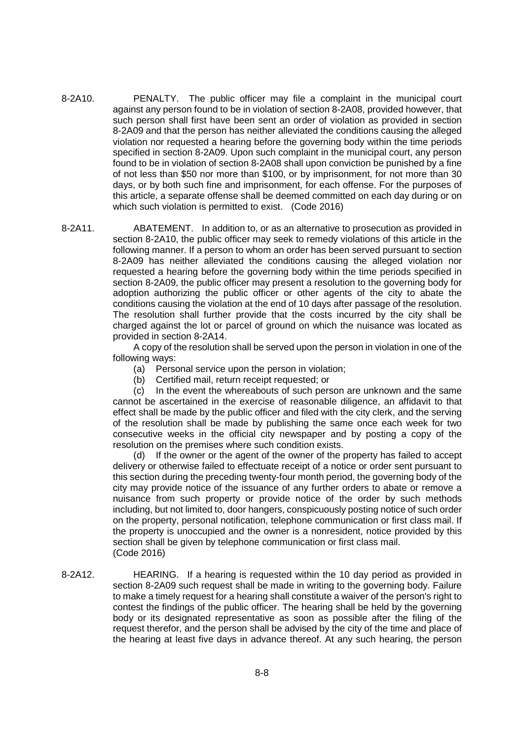- 8-2A10. PENALTY. The public officer may file a complaint in the municipal court against any person found to be in violation of section 8-2A08, provided however, that such person shall first have been sent an order of violation as provided in section 8-2A09 and that the person has neither alleviated the conditions causing the alleged violation nor requested a hearing before the governing body within the time periods specified in section 8-2A09. Upon such complaint in the municipal court, any person found to be in violation of section 8-2A08 shall upon conviction be punished by a fine of not less than \$50 nor more than \$100, or by imprisonment, for not more than 30 days, or by both such fine and imprisonment, for each offense. For the purposes of this article, a separate offense shall be deemed committed on each day during or on which such violation is permitted to exist. (Code 2016)
- 8-2A11. ABATEMENT. In addition to, or as an alternative to prosecution as provided in section 8-2A10, the public officer may seek to remedy violations of this article in the following manner. If a person to whom an order has been served pursuant to section 8-2A09 has neither alleviated the conditions causing the alleged violation nor requested a hearing before the governing body within the time periods specified in section 8-2A09, the public officer may present a resolution to the governing body for adoption authorizing the public officer or other agents of the city to abate the conditions causing the violation at the end of 10 days after passage of the resolution. The resolution shall further provide that the costs incurred by the city shall be charged against the lot or parcel of ground on which the nuisance was located as provided in section 8-2A14.

A copy of the resolution shall be served upon the person in violation in one of the following ways:

- (a) Personal service upon the person in violation;
- (b) Certified mail, return receipt requested; or

(c) In the event the whereabouts of such person are unknown and the same cannot be ascertained in the exercise of reasonable diligence, an affidavit to that effect shall be made by the public officer and filed with the city clerk, and the serving of the resolution shall be made by publishing the same once each week for two consecutive weeks in the official city newspaper and by posting a copy of the resolution on the premises where such condition exists.

(d) If the owner or the agent of the owner of the property has failed to accept delivery or otherwise failed to effectuate receipt of a notice or order sent pursuant to this section during the preceding twenty-four month period, the governing body of the city may provide notice of the issuance of any further orders to abate or remove a nuisance from such property or provide notice of the order by such methods including, but not limited to, door hangers, conspicuously posting notice of such order on the property, personal notification, telephone communication or first class mail. If the property is unoccupied and the owner is a nonresident, notice provided by this section shall be given by telephone communication or first class mail. (Code 2016)

8-2A12. HEARING. If a hearing is requested within the 10 day period as provided in section 8-2A09 such request shall be made in writing to the governing body. Failure to make a timely request for a hearing shall constitute a waiver of the person's right to contest the findings of the public officer. The hearing shall be held by the governing body or its designated representative as soon as possible after the filing of the request therefor, and the person shall be advised by the city of the time and place of the hearing at least five days in advance thereof. At any such hearing, the person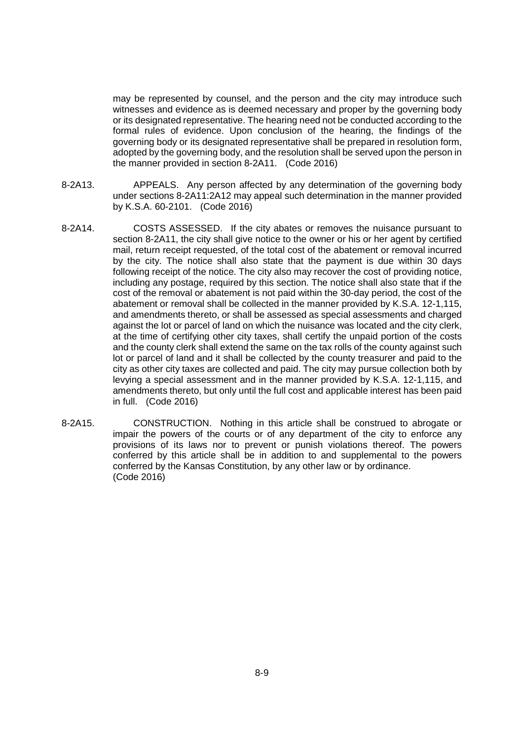may be represented by counsel, and the person and the city may introduce such witnesses and evidence as is deemed necessary and proper by the governing body or its designated representative. The hearing need not be conducted according to the formal rules of evidence. Upon conclusion of the hearing, the findings of the governing body or its designated representative shall be prepared in resolution form, adopted by the governing body, and the resolution shall be served upon the person in the manner provided in section 8-2A11. (Code 2016)

- 8-2A13. APPEALS. Any person affected by any determination of the governing body under sections 8-2A11:2A12 may appeal such determination in the manner provided by K.S.A. 60-2101. (Code 2016)
- 8-2A14. COSTS ASSESSED. If the city abates or removes the nuisance pursuant to section 8-2A11, the city shall give notice to the owner or his or her agent by certified mail, return receipt requested, of the total cost of the abatement or removal incurred by the city. The notice shall also state that the payment is due within 30 days following receipt of the notice. The city also may recover the cost of providing notice, including any postage, required by this section. The notice shall also state that if the cost of the removal or abatement is not paid within the 30-day period, the cost of the abatement or removal shall be collected in the manner provided by K.S.A. 12-1,115, and amendments thereto, or shall be assessed as special assessments and charged against the lot or parcel of land on which the nuisance was located and the city clerk, at the time of certifying other city taxes, shall certify the unpaid portion of the costs and the county clerk shall extend the same on the tax rolls of the county against such lot or parcel of land and it shall be collected by the county treasurer and paid to the city as other city taxes are collected and paid. The city may pursue collection both by levying a special assessment and in the manner provided by K.S.A. 12-1,115, and amendments thereto, but only until the full cost and applicable interest has been paid in full. (Code 2016)
- 8-2A15. CONSTRUCTION. Nothing in this article shall be construed to abrogate or impair the powers of the courts or of any department of the city to enforce any provisions of its laws nor to prevent or punish violations thereof. The powers conferred by this article shall be in addition to and supplemental to the powers conferred by the Kansas Constitution, by any other law or by ordinance. (Code 2016)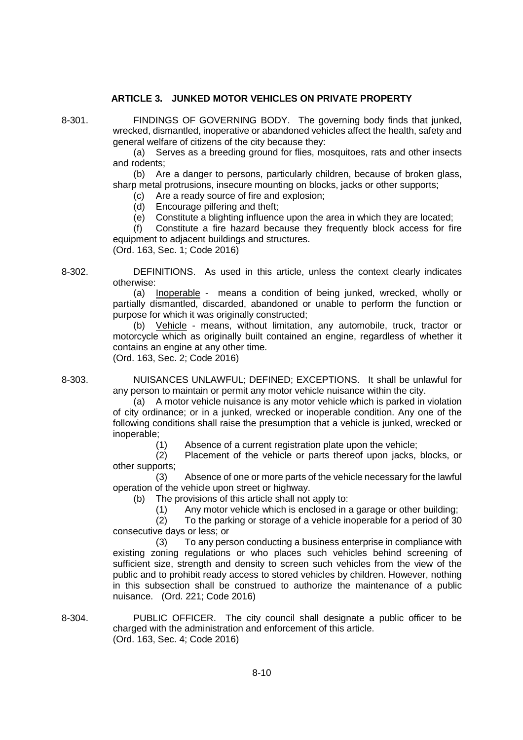# **ARTICLE 3. JUNKED MOTOR VEHICLES ON PRIVATE PROPERTY**

8-301. FINDINGS OF GOVERNING BODY. The governing body finds that junked, wrecked, dismantled, inoperative or abandoned vehicles affect the health, safety and general welfare of citizens of the city because they:

(a) Serves as a breeding ground for flies, mosquitoes, rats and other insects and rodents;

(b) Are a danger to persons, particularly children, because of broken glass, sharp metal protrusions, insecure mounting on blocks, jacks or other supports;

(c) Are a ready source of fire and explosion;

(d) Encourage pilfering and theft;

(e) Constitute a blighting influence upon the area in which they are located;

(f) Constitute a fire hazard because they frequently block access for fire equipment to adjacent buildings and structures.

(Ord. 163, Sec. 1; Code 2016)

8-302. DEFINITIONS. As used in this article, unless the context clearly indicates otherwise:

(a) Inoperable - means a condition of being junked, wrecked, wholly or partially dismantled, discarded, abandoned or unable to perform the function or purpose for which it was originally constructed;

(b) Vehicle - means, without limitation, any automobile, truck, tractor or motorcycle which as originally built contained an engine, regardless of whether it contains an engine at any other time. (Ord. 163, Sec. 2; Code 2016)

8-303. NUISANCES UNLAWFUL; DEFINED; EXCEPTIONS. It shall be unlawful for any person to maintain or permit any motor vehicle nuisance within the city.

(a) A motor vehicle nuisance is any motor vehicle which is parked in violation of city ordinance; or in a junked, wrecked or inoperable condition. Any one of the following conditions shall raise the presumption that a vehicle is junked, wrecked or inoperable;

(1) Absence of a current registration plate upon the vehicle;

(2) Placement of the vehicle or parts thereof upon jacks, blocks, or other supports;

(3) Absence of one or more parts of the vehicle necessary for the lawful operation of the vehicle upon street or highway.

(b) The provisions of this article shall not apply to:

(1) Any motor vehicle which is enclosed in a garage or other building;

(2) To the parking or storage of a vehicle inoperable for a period of 30 consecutive days or less; or

(3) To any person conducting a business enterprise in compliance with existing zoning regulations or who places such vehicles behind screening of sufficient size, strength and density to screen such vehicles from the view of the public and to prohibit ready access to stored vehicles by children. However, nothing in this subsection shall be construed to authorize the maintenance of a public nuisance. (Ord. 221; Code 2016)

8-304. PUBLIC OFFICER. The city council shall designate a public officer to be charged with the administration and enforcement of this article. (Ord. 163, Sec. 4; Code 2016)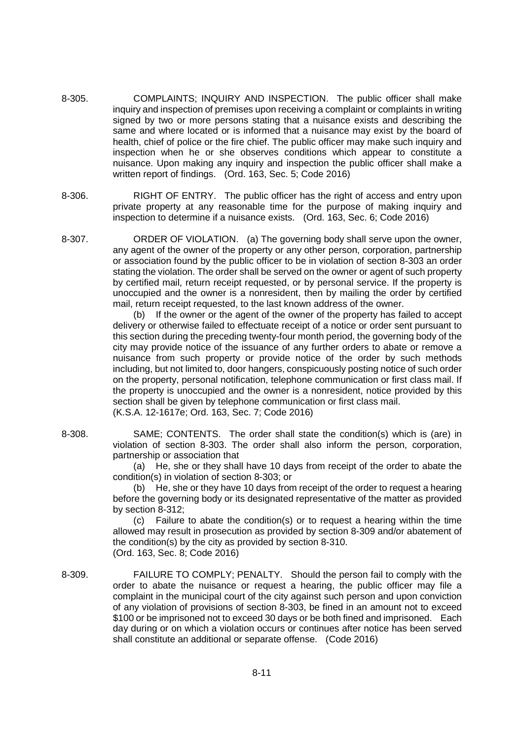- 8-305. COMPLAINTS; INQUIRY AND INSPECTION. The public officer shall make inquiry and inspection of premises upon receiving a complaint or complaints in writing signed by two or more persons stating that a nuisance exists and describing the same and where located or is informed that a nuisance may exist by the board of health, chief of police or the fire chief. The public officer may make such inquiry and inspection when he or she observes conditions which appear to constitute a nuisance. Upon making any inquiry and inspection the public officer shall make a written report of findings. (Ord. 163, Sec. 5; Code 2016)
- 8-306. RIGHT OF ENTRY. The public officer has the right of access and entry upon private property at any reasonable time for the purpose of making inquiry and inspection to determine if a nuisance exists. (Ord. 163, Sec. 6; Code 2016)
- 8-307. ORDER OF VIOLATION. (a) The governing body shall serve upon the owner, any agent of the owner of the property or any other person, corporation, partnership or association found by the public officer to be in violation of section 8-303 an order stating the violation. The order shall be served on the owner or agent of such property by certified mail, return receipt requested, or by personal service. If the property is unoccupied and the owner is a nonresident, then by mailing the order by certified mail, return receipt requested, to the last known address of the owner.

(b) If the owner or the agent of the owner of the property has failed to accept delivery or otherwise failed to effectuate receipt of a notice or order sent pursuant to this section during the preceding twenty-four month period, the governing body of the city may provide notice of the issuance of any further orders to abate or remove a nuisance from such property or provide notice of the order by such methods including, but not limited to, door hangers, conspicuously posting notice of such order on the property, personal notification, telephone communication or first class mail. If the property is unoccupied and the owner is a nonresident, notice provided by this section shall be given by telephone communication or first class mail. (K.S.A. 12-1617e; Ord. 163, Sec. 7; Code 2016)

8-308. SAME; CONTENTS. The order shall state the condition(s) which is (are) in violation of section 8-303. The order shall also inform the person, corporation, partnership or association that

> (a) He, she or they shall have 10 days from receipt of the order to abate the condition(s) in violation of section 8-303; or

> (b) He, she or they have 10 days from receipt of the order to request a hearing before the governing body or its designated representative of the matter as provided by section 8-312;

> (c) Failure to abate the condition(s) or to request a hearing within the time allowed may result in prosecution as provided by section 8-309 and/or abatement of the condition(s) by the city as provided by section 8-310. (Ord. 163, Sec. 8; Code 2016)

8-309. FAILURE TO COMPLY; PENALTY. Should the person fail to comply with the order to abate the nuisance or request a hearing, the public officer may file a complaint in the municipal court of the city against such person and upon conviction of any violation of provisions of section 8-303, be fined in an amount not to exceed \$100 or be imprisoned not to exceed 30 days or be both fined and imprisoned. Each day during or on which a violation occurs or continues after notice has been served shall constitute an additional or separate offense. (Code 2016)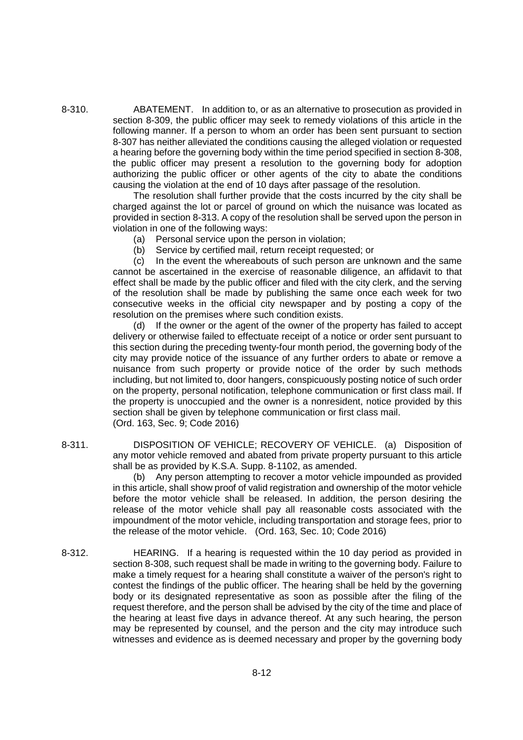8-310. ABATEMENT. In addition to, or as an alternative to prosecution as provided in section 8-309, the public officer may seek to remedy violations of this article in the following manner. If a person to whom an order has been sent pursuant to section 8-307 has neither alleviated the conditions causing the alleged violation or requested a hearing before the governing body within the time period specified in section 8-308, the public officer may present a resolution to the governing body for adoption authorizing the public officer or other agents of the city to abate the conditions causing the violation at the end of 10 days after passage of the resolution.

The resolution shall further provide that the costs incurred by the city shall be charged against the lot or parcel of ground on which the nuisance was located as provided in section 8-313. A copy of the resolution shall be served upon the person in violation in one of the following ways:

- (a) Personal service upon the person in violation;
- (b) Service by certified mail, return receipt requested; or (c) In the event the whereabouts of such person are unl

In the event the whereabouts of such person are unknown and the same cannot be ascertained in the exercise of reasonable diligence, an affidavit to that effect shall be made by the public officer and filed with the city clerk, and the serving of the resolution shall be made by publishing the same once each week for two consecutive weeks in the official city newspaper and by posting a copy of the resolution on the premises where such condition exists.

(d) If the owner or the agent of the owner of the property has failed to accept delivery or otherwise failed to effectuate receipt of a notice or order sent pursuant to this section during the preceding twenty-four month period, the governing body of the city may provide notice of the issuance of any further orders to abate or remove a nuisance from such property or provide notice of the order by such methods including, but not limited to, door hangers, conspicuously posting notice of such order on the property, personal notification, telephone communication or first class mail. If the property is unoccupied and the owner is a nonresident, notice provided by this section shall be given by telephone communication or first class mail. (Ord. 163, Sec. 9; Code 2016)

8-311. DISPOSITION OF VEHICLE; RECOVERY OF VEHICLE. (a) Disposition of any motor vehicle removed and abated from private property pursuant to this article shall be as provided by K.S.A. Supp. 8-1102, as amended.

(b) Any person attempting to recover a motor vehicle impounded as provided in this article, shall show proof of valid registration and ownership of the motor vehicle before the motor vehicle shall be released. In addition, the person desiring the release of the motor vehicle shall pay all reasonable costs associated with the impoundment of the motor vehicle, including transportation and storage fees, prior to the release of the motor vehicle. (Ord. 163, Sec. 10; Code 2016)

8-312. HEARING. If a hearing is requested within the 10 day period as provided in section 8-308, such request shall be made in writing to the governing body. Failure to make a timely request for a hearing shall constitute a waiver of the person's right to contest the findings of the public officer. The hearing shall be held by the governing body or its designated representative as soon as possible after the filing of the request therefore, and the person shall be advised by the city of the time and place of the hearing at least five days in advance thereof. At any such hearing, the person may be represented by counsel, and the person and the city may introduce such witnesses and evidence as is deemed necessary and proper by the governing body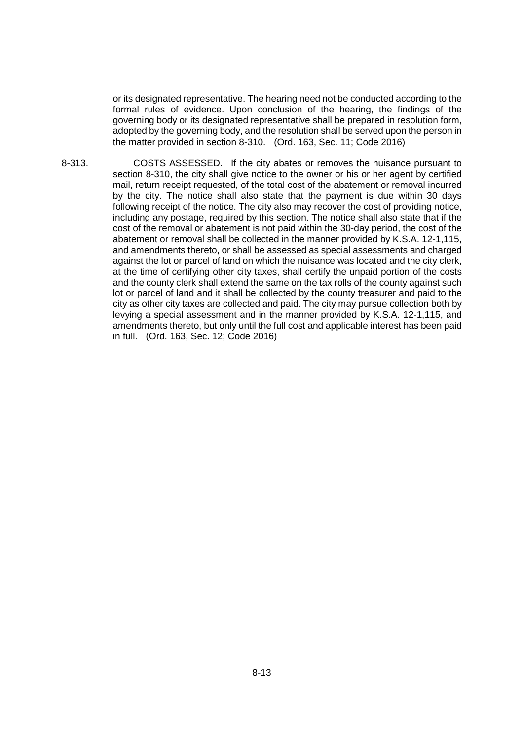or its designated representative. The hearing need not be conducted according to the formal rules of evidence. Upon conclusion of the hearing, the findings of the governing body or its designated representative shall be prepared in resolution form, adopted by the governing body, and the resolution shall be served upon the person in the matter provided in section 8-310. (Ord. 163, Sec. 11; Code 2016)

8-313. COSTS ASSESSED. If the city abates or removes the nuisance pursuant to section 8-310, the city shall give notice to the owner or his or her agent by certified mail, return receipt requested, of the total cost of the abatement or removal incurred by the city. The notice shall also state that the payment is due within 30 days following receipt of the notice. The city also may recover the cost of providing notice, including any postage, required by this section. The notice shall also state that if the cost of the removal or abatement is not paid within the 30-day period, the cost of the abatement or removal shall be collected in the manner provided by K.S.A. 12-1,115, and amendments thereto, or shall be assessed as special assessments and charged against the lot or parcel of land on which the nuisance was located and the city clerk, at the time of certifying other city taxes, shall certify the unpaid portion of the costs and the county clerk shall extend the same on the tax rolls of the county against such lot or parcel of land and it shall be collected by the county treasurer and paid to the city as other city taxes are collected and paid. The city may pursue collection both by levying a special assessment and in the manner provided by K.S.A. 12-1,115, and amendments thereto, but only until the full cost and applicable interest has been paid in full. (Ord. 163, Sec. 12; Code 2016)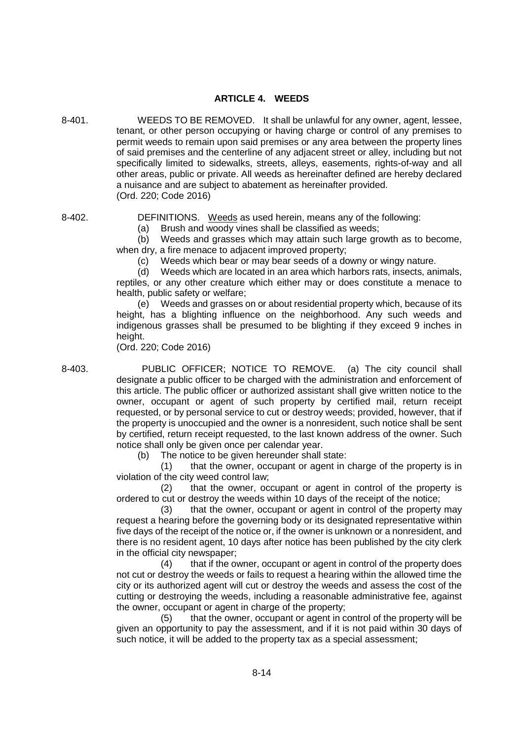# **ARTICLE 4. WEEDS**

8-401. WEEDS TO BE REMOVED. It shall be unlawful for any owner, agent, lessee, tenant, or other person occupying or having charge or control of any premises to permit weeds to remain upon said premises or any area between the property lines of said premises and the centerline of any adjacent street or alley, including but not specifically limited to sidewalks, streets, alleys, easements, rights-of-way and all other areas, public or private. All weeds as hereinafter defined are hereby declared a nuisance and are subject to abatement as hereinafter provided. (Ord. 220; Code 2016)

8-402. DEFINITIONS. Weeds as used herein, means any of the following:

(a) Brush and woody vines shall be classified as weeds;

(b) Weeds and grasses which may attain such large growth as to become, when dry, a fire menace to adjacent improved property;

(c) Weeds which bear or may bear seeds of a downy or wingy nature.

(d) Weeds which are located in an area which harbors rats, insects, animals, reptiles, or any other creature which either may or does constitute a menace to health, public safety or welfare;

(e) Weeds and grasses on or about residential property which, because of its height, has a blighting influence on the neighborhood. Any such weeds and indigenous grasses shall be presumed to be blighting if they exceed 9 inches in height.

(Ord. 220; Code 2016)

8-403. PUBLIC OFFICER; NOTICE TO REMOVE. (a) The city council shall designate a public officer to be charged with the administration and enforcement of this article. The public officer or authorized assistant shall give written notice to the owner, occupant or agent of such property by certified mail, return receipt requested, or by personal service to cut or destroy weeds; provided, however, that if the property is unoccupied and the owner is a nonresident, such notice shall be sent by certified, return receipt requested, to the last known address of the owner. Such notice shall only be given once per calendar year.

(b) The notice to be given hereunder shall state:

(1) that the owner, occupant or agent in charge of the property is in violation of the city weed control law;

(2) that the owner, occupant or agent in control of the property is ordered to cut or destroy the weeds within 10 days of the receipt of the notice;

(3) that the owner, occupant or agent in control of the property may request a hearing before the governing body or its designated representative within five days of the receipt of the notice or, if the owner is unknown or a nonresident, and there is no resident agent, 10 days after notice has been published by the city clerk in the official city newspaper;

(4) that if the owner, occupant or agent in control of the property does not cut or destroy the weeds or fails to request a hearing within the allowed time the city or its authorized agent will cut or destroy the weeds and assess the cost of the cutting or destroying the weeds, including a reasonable administrative fee, against the owner, occupant or agent in charge of the property;

(5) that the owner, occupant or agent in control of the property will be given an opportunity to pay the assessment, and if it is not paid within 30 days of such notice, it will be added to the property tax as a special assessment;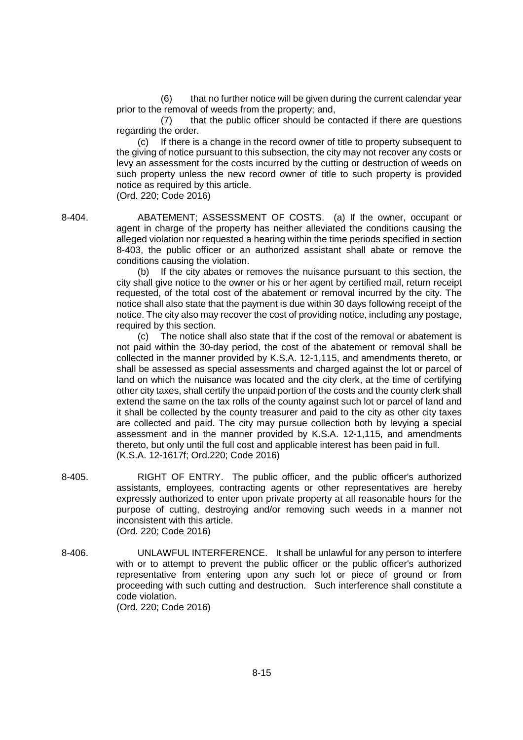(6) that no further notice will be given during the current calendar year prior to the removal of weeds from the property; and,

(7) that the public officer should be contacted if there are questions regarding the order.

(c) If there is a change in the record owner of title to property subsequent to the giving of notice pursuant to this subsection, the city may not recover any costs or levy an assessment for the costs incurred by the cutting or destruction of weeds on such property unless the new record owner of title to such property is provided notice as required by this article.

(Ord. 220; Code 2016)

8-404. ABATEMENT; ASSESSMENT OF COSTS. (a) If the owner, occupant or agent in charge of the property has neither alleviated the conditions causing the alleged violation nor requested a hearing within the time periods specified in section 8-403, the public officer or an authorized assistant shall abate or remove the conditions causing the violation.

> (b) If the city abates or removes the nuisance pursuant to this section, the city shall give notice to the owner or his or her agent by certified mail, return receipt requested, of the total cost of the abatement or removal incurred by the city. The notice shall also state that the payment is due within 30 days following receipt of the notice. The city also may recover the cost of providing notice, including any postage, required by this section.

> (c) The notice shall also state that if the cost of the removal or abatement is not paid within the 30-day period, the cost of the abatement or removal shall be collected in the manner provided by K.S.A. 12-1,115, and amendments thereto, or shall be assessed as special assessments and charged against the lot or parcel of land on which the nuisance was located and the city clerk, at the time of certifying other city taxes, shall certify the unpaid portion of the costs and the county clerk shall extend the same on the tax rolls of the county against such lot or parcel of land and it shall be collected by the county treasurer and paid to the city as other city taxes are collected and paid. The city may pursue collection both by levying a special assessment and in the manner provided by K.S.A. 12-1,115, and amendments thereto, but only until the full cost and applicable interest has been paid in full. (K.S.A. 12-1617f; Ord.220; Code 2016)

- 8-405. RIGHT OF ENTRY. The public officer, and the public officer's authorized assistants, employees, contracting agents or other representatives are hereby expressly authorized to enter upon private property at all reasonable hours for the purpose of cutting, destroying and/or removing such weeds in a manner not inconsistent with this article. (Ord. 220; Code 2016)
- 8-406. UNLAWFUL INTERFERENCE. It shall be unlawful for any person to interfere with or to attempt to prevent the public officer or the public officer's authorized representative from entering upon any such lot or piece of ground or from proceeding with such cutting and destruction. Such interference shall constitute a code violation. (Ord. 220; Code 2016)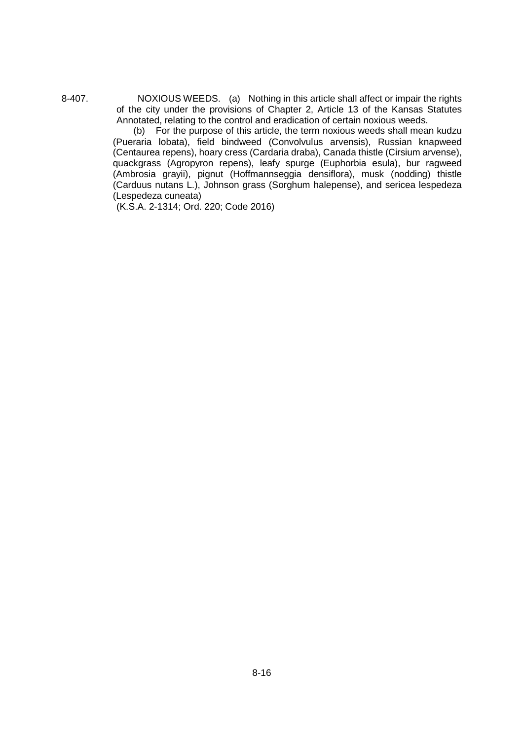8-407. NOXIOUS WEEDS. (a) Nothing in this article shall affect or impair the rights of the city under the provisions of Chapter 2, Article 13 of the Kansas Statutes Annotated, relating to the control and eradication of certain noxious weeds.

> (b) For the purpose of this article, the term noxious weeds shall mean kudzu (Pueraria lobata), field bindweed (Convolvulus arvensis), Russian knapweed (Centaurea repens), hoary cress (Cardaria draba), Canada thistle (Cirsium arvense), quackgrass (Agropyron repens), leafy spurge (Euphorbia esula), bur ragweed (Ambrosia grayii), pignut (Hoffmannseggia densiflora), musk (nodding) thistle (Carduus nutans L.), Johnson grass (Sorghum halepense), and sericea lespedeza (Lespedeza cuneata)

(K.S.A. 2-1314; Ord. 220; Code 2016)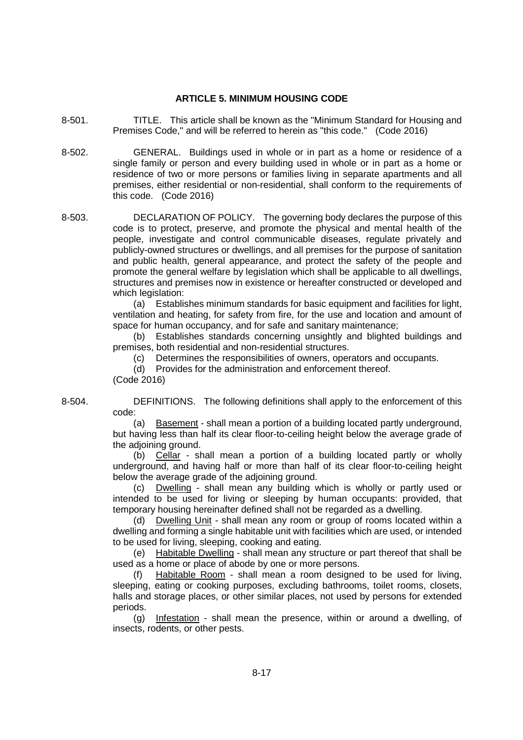# **ARTICLE 5. MINIMUM HOUSING CODE**

- 8-501. TITLE. This article shall be known as the "Minimum Standard for Housing and Premises Code," and will be referred to herein as "this code." (Code 2016)
- 8-502. GENERAL. Buildings used in whole or in part as a home or residence of a single family or person and every building used in whole or in part as a home or residence of two or more persons or families living in separate apartments and all premises, either residential or non-residential, shall conform to the requirements of this code. (Code 2016)
- 8-503. DECLARATION OF POLICY. The governing body declares the purpose of this code is to protect, preserve, and promote the physical and mental health of the people, investigate and control communicable diseases, regulate privately and publicly-owned structures or dwellings, and all premises for the purpose of sanitation and public health, general appearance, and protect the safety of the people and promote the general welfare by legislation which shall be applicable to all dwellings, structures and premises now in existence or hereafter constructed or developed and which legislation:

(a) Establishes minimum standards for basic equipment and facilities for light, ventilation and heating, for safety from fire, for the use and location and amount of space for human occupancy, and for safe and sanitary maintenance;

(b) Establishes standards concerning unsightly and blighted buildings and premises, both residential and non-residential structures.

(c) Determines the responsibilities of owners, operators and occupants.

(d) Provides for the administration and enforcement thereof.

(Code 2016)

8-504. DEFINITIONS. The following definitions shall apply to the enforcement of this code:

> (a) Basement - shall mean a portion of a building located partly underground, but having less than half its clear floor-to-ceiling height below the average grade of the adjoining ground.

> (b) Cellar - shall mean a portion of a building located partly or wholly underground, and having half or more than half of its clear floor-to-ceiling height below the average grade of the adjoining ground.

> (c) Dwelling - shall mean any building which is wholly or partly used or intended to be used for living or sleeping by human occupants: provided, that temporary housing hereinafter defined shall not be regarded as a dwelling.

> (d) Dwelling Unit - shall mean any room or group of rooms located within a dwelling and forming a single habitable unit with facilities which are used, or intended to be used for living, sleeping, cooking and eating.

> (e) Habitable Dwelling - shall mean any structure or part thereof that shall be used as a home or place of abode by one or more persons.

> (f) Habitable Room - shall mean a room designed to be used for living, sleeping, eating or cooking purposes, excluding bathrooms, toilet rooms, closets, halls and storage places, or other similar places, not used by persons for extended periods.

> (g) Infestation - shall mean the presence, within or around a dwelling, of insects, rodents, or other pests.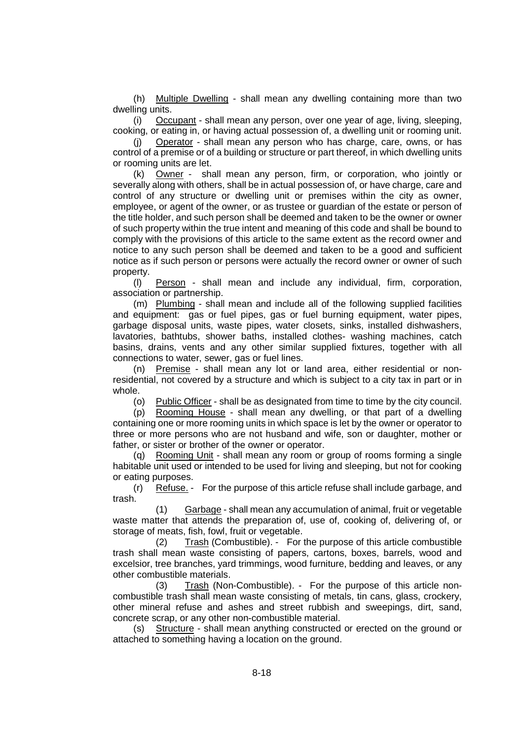(h) Multiple Dwelling - shall mean any dwelling containing more than two dwelling units.

(i) Occupant - shall mean any person, over one year of age, living, sleeping, cooking, or eating in, or having actual possession of, a dwelling unit or rooming unit.

(j) Operator - shall mean any person who has charge, care, owns, or has control of a premise or of a building or structure or part thereof, in which dwelling units or rooming units are let.

(k) Owner - shall mean any person, firm, or corporation, who jointly or severally along with others, shall be in actual possession of, or have charge, care and control of any structure or dwelling unit or premises within the city as owner, employee, or agent of the owner, or as trustee or guardian of the estate or person of the title holder, and such person shall be deemed and taken to be the owner or owner of such property within the true intent and meaning of this code and shall be bound to comply with the provisions of this article to the same extent as the record owner and notice to any such person shall be deemed and taken to be a good and sufficient notice as if such person or persons were actually the record owner or owner of such property.

(l) Person - shall mean and include any individual, firm, corporation, association or partnership.

(m) Plumbing - shall mean and include all of the following supplied facilities and equipment: gas or fuel pipes, gas or fuel burning equipment, water pipes, garbage disposal units, waste pipes, water closets, sinks, installed dishwashers, lavatories, bathtubs, shower baths, installed clothes- washing machines, catch basins, drains, vents and any other similar supplied fixtures, together with all connections to water, sewer, gas or fuel lines.

(n) Premise - shall mean any lot or land area, either residential or nonresidential, not covered by a structure and which is subject to a city tax in part or in whole.

(o) Public Officer - shall be as designated from time to time by the city council.

(p) Rooming House - shall mean any dwelling, or that part of a dwelling containing one or more rooming units in which space is let by the owner or operator to three or more persons who are not husband and wife, son or daughter, mother or father, or sister or brother of the owner or operator.

(q) Rooming Unit - shall mean any room or group of rooms forming a single habitable unit used or intended to be used for living and sleeping, but not for cooking or eating purposes.

(r) Refuse. - For the purpose of this article refuse shall include garbage, and trash.

(1) Garbage - shall mean any accumulation of animal, fruit or vegetable waste matter that attends the preparation of, use of, cooking of, delivering of, or storage of meats, fish, fowl, fruit or vegetable.

(2) Trash (Combustible). - For the purpose of this article combustible trash shall mean waste consisting of papers, cartons, boxes, barrels, wood and excelsior, tree branches, yard trimmings, wood furniture, bedding and leaves, or any other combustible materials.

(3) Trash (Non-Combustible). - For the purpose of this article noncombustible trash shall mean waste consisting of metals, tin cans, glass, crockery, other mineral refuse and ashes and street rubbish and sweepings, dirt, sand, concrete scrap, or any other non-combustible material.

(s) Structure - shall mean anything constructed or erected on the ground or attached to something having a location on the ground.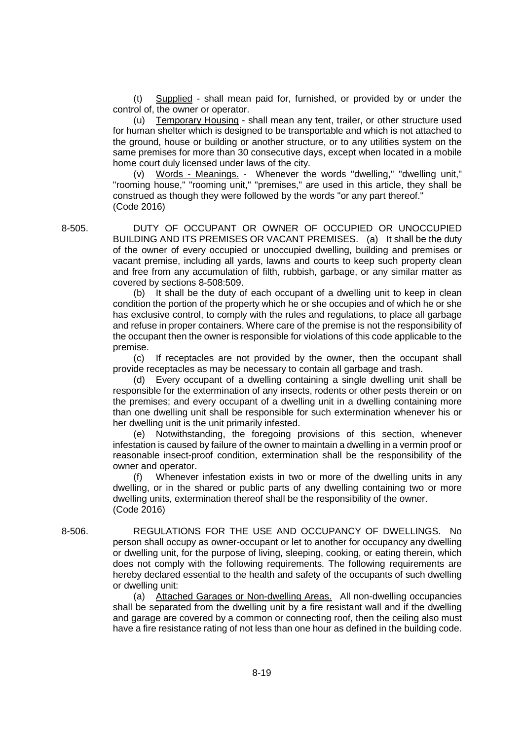(t) Supplied - shall mean paid for, furnished, or provided by or under the control of, the owner or operator.

(u) Temporary Housing - shall mean any tent, trailer, or other structure used for human shelter which is designed to be transportable and which is not attached to the ground, house or building or another structure, or to any utilities system on the same premises for more than 30 consecutive days, except when located in a mobile home court duly licensed under laws of the city.

(v) Words - Meanings. - Whenever the words "dwelling," "dwelling unit," "rooming house," "rooming unit," "premises," are used in this article, they shall be construed as though they were followed by the words "or any part thereof." (Code 2016)

8-505. DUTY OF OCCUPANT OR OWNER OF OCCUPIED OR UNOCCUPIED BUILDING AND ITS PREMISES OR VACANT PREMISES. (a) It shall be the duty of the owner of every occupied or unoccupied dwelling, building and premises or vacant premise, including all yards, lawns and courts to keep such property clean and free from any accumulation of filth, rubbish, garbage, or any similar matter as covered by sections 8-508:509.

(b) It shall be the duty of each occupant of a dwelling unit to keep in clean condition the portion of the property which he or she occupies and of which he or she has exclusive control, to comply with the rules and regulations, to place all garbage and refuse in proper containers. Where care of the premise is not the responsibility of the occupant then the owner is responsible for violations of this code applicable to the premise.

(c) If receptacles are not provided by the owner, then the occupant shall provide receptacles as may be necessary to contain all garbage and trash.

(d) Every occupant of a dwelling containing a single dwelling unit shall be responsible for the extermination of any insects, rodents or other pests therein or on the premises; and every occupant of a dwelling unit in a dwelling containing more than one dwelling unit shall be responsible for such extermination whenever his or her dwelling unit is the unit primarily infested.

(e) Notwithstanding, the foregoing provisions of this section, whenever infestation is caused by failure of the owner to maintain a dwelling in a vermin proof or reasonable insect-proof condition, extermination shall be the responsibility of the owner and operator.

(f) Whenever infestation exists in two or more of the dwelling units in any dwelling, or in the shared or public parts of any dwelling containing two or more dwelling units, extermination thereof shall be the responsibility of the owner. (Code 2016)

8-506. REGULATIONS FOR THE USE AND OCCUPANCY OF DWELLINGS. No person shall occupy as owner-occupant or let to another for occupancy any dwelling or dwelling unit, for the purpose of living, sleeping, cooking, or eating therein, which does not comply with the following requirements. The following requirements are hereby declared essential to the health and safety of the occupants of such dwelling or dwelling unit:

> (a) Attached Garages or Non-dwelling Areas. All non-dwelling occupancies shall be separated from the dwelling unit by a fire resistant wall and if the dwelling and garage are covered by a common or connecting roof, then the ceiling also must have a fire resistance rating of not less than one hour as defined in the building code.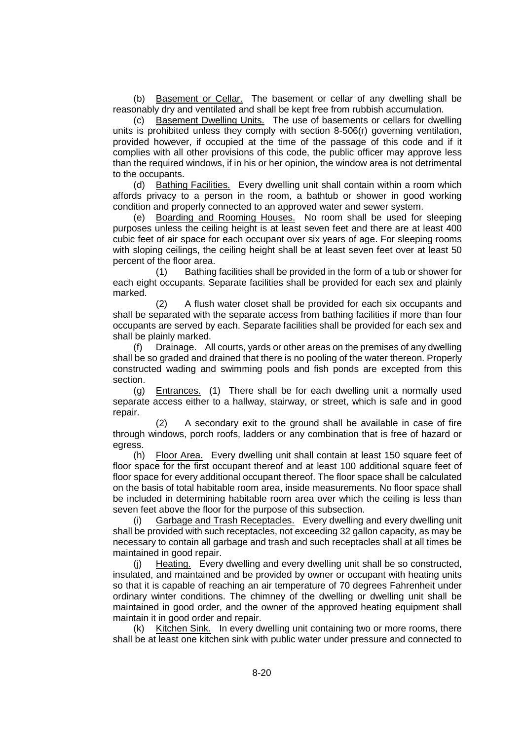(b) Basement or Cellar. The basement or cellar of any dwelling shall be reasonably dry and ventilated and shall be kept free from rubbish accumulation.

(c) Basement Dwelling Units. The use of basements or cellars for dwelling units is prohibited unless they comply with section 8-506(r) governing ventilation, provided however, if occupied at the time of the passage of this code and if it complies with all other provisions of this code, the public officer may approve less than the required windows, if in his or her opinion, the window area is not detrimental to the occupants.

(d) Bathing Facilities. Every dwelling unit shall contain within a room which affords privacy to a person in the room, a bathtub or shower in good working condition and properly connected to an approved water and sewer system.

(e) Boarding and Rooming Houses. No room shall be used for sleeping purposes unless the ceiling height is at least seven feet and there are at least 400 cubic feet of air space for each occupant over six years of age. For sleeping rooms with sloping ceilings, the ceiling height shall be at least seven feet over at least 50 percent of the floor area.

(1) Bathing facilities shall be provided in the form of a tub or shower for each eight occupants. Separate facilities shall be provided for each sex and plainly marked.

(2) A flush water closet shall be provided for each six occupants and shall be separated with the separate access from bathing facilities if more than four occupants are served by each. Separate facilities shall be provided for each sex and shall be plainly marked.

(f) Drainage. All courts, yards or other areas on the premises of any dwelling shall be so graded and drained that there is no pooling of the water thereon. Properly constructed wading and swimming pools and fish ponds are excepted from this section.

(g) Entrances. (1) There shall be for each dwelling unit a normally used separate access either to a hallway, stairway, or street, which is safe and in good repair.

(2) A secondary exit to the ground shall be available in case of fire through windows, porch roofs, ladders or any combination that is free of hazard or egress.

(h) Floor Area. Every dwelling unit shall contain at least 150 square feet of floor space for the first occupant thereof and at least 100 additional square feet of floor space for every additional occupant thereof. The floor space shall be calculated on the basis of total habitable room area, inside measurements. No floor space shall be included in determining habitable room area over which the ceiling is less than seven feet above the floor for the purpose of this subsection.

(i) Garbage and Trash Receptacles. Every dwelling and every dwelling unit shall be provided with such receptacles, not exceeding 32 gallon capacity, as may be necessary to contain all garbage and trash and such receptacles shall at all times be maintained in good repair.

(j) Heating. Every dwelling and every dwelling unit shall be so constructed, insulated, and maintained and be provided by owner or occupant with heating units so that it is capable of reaching an air temperature of 70 degrees Fahrenheit under ordinary winter conditions. The chimney of the dwelling or dwelling unit shall be maintained in good order, and the owner of the approved heating equipment shall maintain it in good order and repair.

(k) Kitchen Sink. In every dwelling unit containing two or more rooms, there shall be at least one kitchen sink with public water under pressure and connected to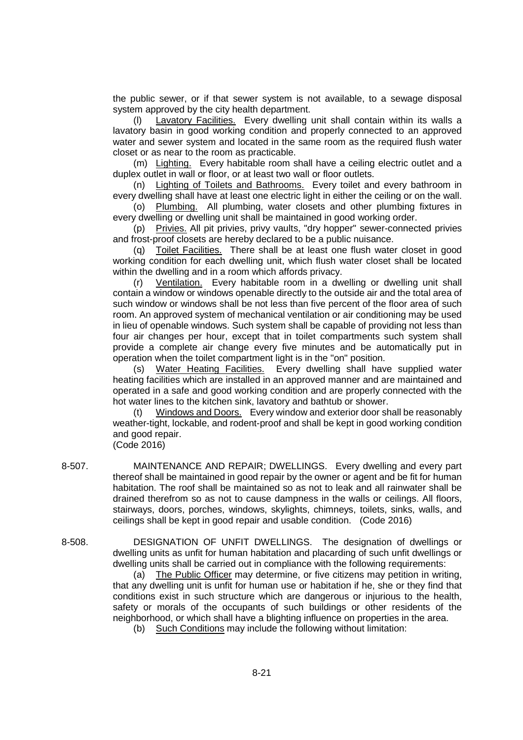the public sewer, or if that sewer system is not available, to a sewage disposal system approved by the city health department.

(l) Lavatory Facilities. Every dwelling unit shall contain within its walls a lavatory basin in good working condition and properly connected to an approved water and sewer system and located in the same room as the required flush water closet or as near to the room as practicable.

(m) Lighting. Every habitable room shall have a ceiling electric outlet and a duplex outlet in wall or floor, or at least two wall or floor outlets.

(n) Lighting of Toilets and Bathrooms. Every toilet and every bathroom in every dwelling shall have at least one electric light in either the ceiling or on the wall.

(o) Plumbing. All plumbing, water closets and other plumbing fixtures in every dwelling or dwelling unit shall be maintained in good working order.

(p) Privies. All pit privies, privy vaults, "dry hopper" sewer-connected privies and frost-proof closets are hereby declared to be a public nuisance.

(q) Toilet Facilities. There shall be at least one flush water closet in good working condition for each dwelling unit, which flush water closet shall be located within the dwelling and in a room which affords privacy.

(r) Ventilation. Every habitable room in a dwelling or dwelling unit shall contain a window or windows openable directly to the outside air and the total area of such window or windows shall be not less than five percent of the floor area of such room. An approved system of mechanical ventilation or air conditioning may be used in lieu of openable windows. Such system shall be capable of providing not less than four air changes per hour, except that in toilet compartments such system shall provide a complete air change every five minutes and be automatically put in operation when the toilet compartment light is in the "on" position.

(s) Water Heating Facilities. Every dwelling shall have supplied water heating facilities which are installed in an approved manner and are maintained and operated in a safe and good working condition and are properly connected with the hot water lines to the kitchen sink, lavatory and bathtub or shower.

(t) Windows and Doors. Every window and exterior door shall be reasonably weather-tight, lockable, and rodent-proof and shall be kept in good working condition and good repair.

(Code 2016)

8-507. MAINTENANCE AND REPAIR; DWELLINGS. Every dwelling and every part thereof shall be maintained in good repair by the owner or agent and be fit for human habitation. The roof shall be maintained so as not to leak and all rainwater shall be drained therefrom so as not to cause dampness in the walls or ceilings. All floors, stairways, doors, porches, windows, skylights, chimneys, toilets, sinks, walls, and ceilings shall be kept in good repair and usable condition. (Code 2016)

8-508. DESIGNATION OF UNFIT DWELLINGS. The designation of dwellings or dwelling units as unfit for human habitation and placarding of such unfit dwellings or dwelling units shall be carried out in compliance with the following requirements:

> (a) The Public Officer may determine, or five citizens may petition in writing, that any dwelling unit is unfit for human use or habitation if he, she or they find that conditions exist in such structure which are dangerous or injurious to the health, safety or morals of the occupants of such buildings or other residents of the neighborhood, or which shall have a blighting influence on properties in the area.

(b) Such Conditions may include the following without limitation: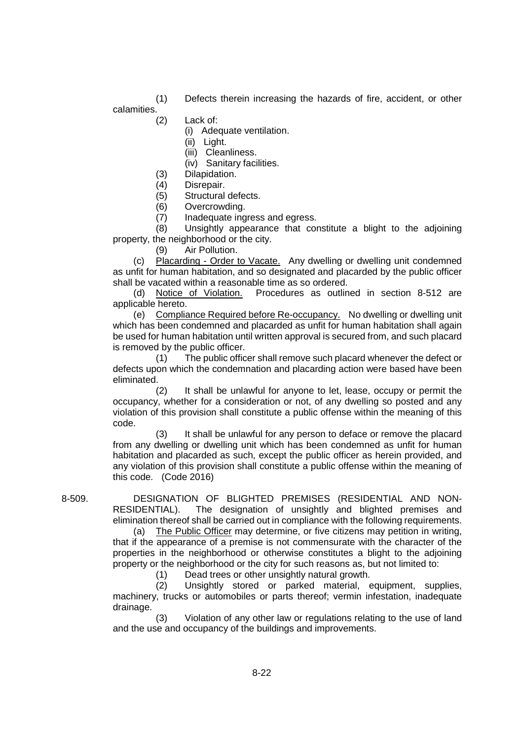(1) Defects therein increasing the hazards of fire, accident, or other

calamities.

(2) Lack of:

- (i) Adequate ventilation.
- (ii) Light.
- (iii) Cleanliness.
- (iv) Sanitary facilities.
- (3) Dilapidation.
- (4) Disrepair.
- (5) Structural defects.
- (6) Overcrowding.
- (7) Inadequate ingress and egress.

(8) Unsightly appearance that constitute a blight to the adjoining property, the neighborhood or the city.

(9) Air Pollution.

(c) Placarding - Order to Vacate. Any dwelling or dwelling unit condemned as unfit for human habitation, and so designated and placarded by the public officer shall be vacated within a reasonable time as so ordered.

(d) Notice of Violation. Procedures as outlined in section 8-512 are applicable hereto.

(e) Compliance Required before Re-occupancy. No dwelling or dwelling unit which has been condemned and placarded as unfit for human habitation shall again be used for human habitation until written approval is secured from, and such placard is removed by the public officer.

(1) The public officer shall remove such placard whenever the defect or defects upon which the condemnation and placarding action were based have been eliminated.

(2) It shall be unlawful for anyone to let, lease, occupy or permit the occupancy, whether for a consideration or not, of any dwelling so posted and any violation of this provision shall constitute a public offense within the meaning of this code.

(3) It shall be unlawful for any person to deface or remove the placard from any dwelling or dwelling unit which has been condemned as unfit for human habitation and placarded as such, except the public officer as herein provided, and any violation of this provision shall constitute a public offense within the meaning of this code. (Code 2016)

8-509. DESIGNATION OF BLIGHTED PREMISES (RESIDENTIAL AND NON-RESIDENTIAL). The designation of unsightly and blighted premises and elimination thereof shall be carried out in compliance with the following requirements.

(a) The Public Officer may determine, or five citizens may petition in writing, that if the appearance of a premise is not commensurate with the character of the properties in the neighborhood or otherwise constitutes a blight to the adjoining property or the neighborhood or the city for such reasons as, but not limited to:

(1) Dead trees or other unsightly natural growth.

(2) Unsightly stored or parked material, equipment, supplies, machinery, trucks or automobiles or parts thereof; vermin infestation, inadequate drainage.

(3) Violation of any other law or regulations relating to the use of land and the use and occupancy of the buildings and improvements.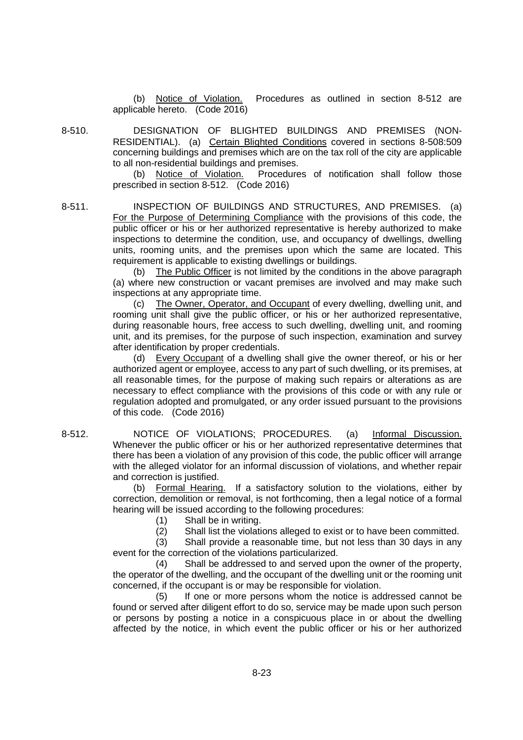(b) Notice of Violation. Procedures as outlined in section 8-512 are applicable hereto. (Code 2016)

8-510. DESIGNATION OF BLIGHTED BUILDINGS AND PREMISES (NON-RESIDENTIAL). (a) Certain Blighted Conditions covered in sections 8-508:509 concerning buildings and premises which are on the tax roll of the city are applicable to all non-residential buildings and premises.

(b) Notice of Violation. Procedures of notification shall follow those prescribed in section 8-512. (Code 2016)

8-511. INSPECTION OF BUILDINGS AND STRUCTURES, AND PREMISES. (a) For the Purpose of Determining Compliance with the provisions of this code, the public officer or his or her authorized representative is hereby authorized to make inspections to determine the condition, use, and occupancy of dwellings, dwelling units, rooming units, and the premises upon which the same are located. This requirement is applicable to existing dwellings or buildings.

> (b) The Public Officer is not limited by the conditions in the above paragraph (a) where new construction or vacant premises are involved and may make such inspections at any appropriate time.

> (c) The Owner, Operator, and Occupant of every dwelling, dwelling unit, and rooming unit shall give the public officer, or his or her authorized representative, during reasonable hours, free access to such dwelling, dwelling unit, and rooming unit, and its premises, for the purpose of such inspection, examination and survey after identification by proper credentials.

> (d) Every Occupant of a dwelling shall give the owner thereof, or his or her authorized agent or employee, access to any part of such dwelling, or its premises, at all reasonable times, for the purpose of making such repairs or alterations as are necessary to effect compliance with the provisions of this code or with any rule or regulation adopted and promulgated, or any order issued pursuant to the provisions of this code. (Code 2016)

8-512. NOTICE OF VIOLATIONS; PROCEDURES. (a) Informal Discussion. Whenever the public officer or his or her authorized representative determines that there has been a violation of any provision of this code, the public officer will arrange with the alleged violator for an informal discussion of violations, and whether repair and correction is justified.

> (b) Formal Hearing. If a satisfactory solution to the violations, either by correction, demolition or removal, is not forthcoming, then a legal notice of a formal hearing will be issued according to the following procedures:

- (1) Shall be in writing.
- (2) Shall list the violations alleged to exist or to have been committed.

(3) Shall provide a reasonable time, but not less than 30 days in any event for the correction of the violations particularized.

(4) Shall be addressed to and served upon the owner of the property, the operator of the dwelling, and the occupant of the dwelling unit or the rooming unit concerned, if the occupant is or may be responsible for violation.

(5) If one or more persons whom the notice is addressed cannot be found or served after diligent effort to do so, service may be made upon such person or persons by posting a notice in a conspicuous place in or about the dwelling affected by the notice, in which event the public officer or his or her authorized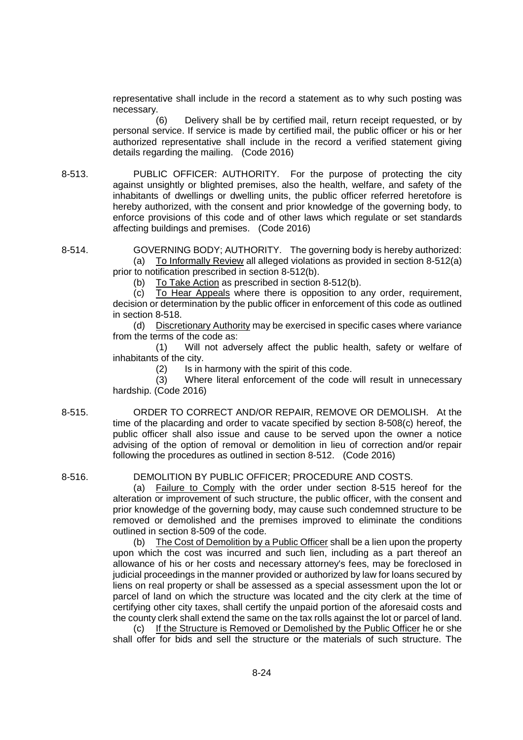representative shall include in the record a statement as to why such posting was necessary.

(6) Delivery shall be by certified mail, return receipt requested, or by personal service. If service is made by certified mail, the public officer or his or her authorized representative shall include in the record a verified statement giving details regarding the mailing. (Code 2016)

- 8-513. PUBLIC OFFICER: AUTHORITY. For the purpose of protecting the city against unsightly or blighted premises, also the health, welfare, and safety of the inhabitants of dwellings or dwelling units, the public officer referred heretofore is hereby authorized, with the consent and prior knowledge of the governing body, to enforce provisions of this code and of other laws which regulate or set standards affecting buildings and premises. (Code 2016)
- 8-514. GOVERNING BODY; AUTHORITY. The governing body is hereby authorized: (a) To Informally Review all alleged violations as provided in section 8-512(a) prior to notification prescribed in section 8-512(b).

(b) To Take Action as prescribed in section 8-512(b).

(c) To Hear Appeals where there is opposition to any order, requirement, decision or determination by the public officer in enforcement of this code as outlined in section 8-518.

(d) Discretionary Authority may be exercised in specific cases where variance from the terms of the code as:

(1) Will not adversely affect the public health, safety or welfare of inhabitants of the city.

(2) Is in harmony with the spirit of this code.

(3) Where literal enforcement of the code will result in unnecessary hardship. (Code 2016)

8-515. ORDER TO CORRECT AND/OR REPAIR, REMOVE OR DEMOLISH. At the time of the placarding and order to vacate specified by section 8-508(c) hereof, the public officer shall also issue and cause to be served upon the owner a notice advising of the option of removal or demolition in lieu of correction and/or repair following the procedures as outlined in section 8-512. (Code 2016)

8-516. DEMOLITION BY PUBLIC OFFICER; PROCEDURE AND COSTS.

(a) Failure to Comply with the order under section 8-515 hereof for the alteration or improvement of such structure, the public officer, with the consent and prior knowledge of the governing body, may cause such condemned structure to be removed or demolished and the premises improved to eliminate the conditions outlined in section 8-509 of the code.

(b) The Cost of Demolition by a Public Officer shall be a lien upon the property upon which the cost was incurred and such lien, including as a part thereof an allowance of his or her costs and necessary attorney's fees, may be foreclosed in judicial proceedings in the manner provided or authorized by law for loans secured by liens on real property or shall be assessed as a special assessment upon the lot or parcel of land on which the structure was located and the city clerk at the time of certifying other city taxes, shall certify the unpaid portion of the aforesaid costs and the county clerk shall extend the same on the tax rolls against the lot or parcel of land.

If the Structure is Removed or Demolished by the Public Officer he or she shall offer for bids and sell the structure or the materials of such structure. The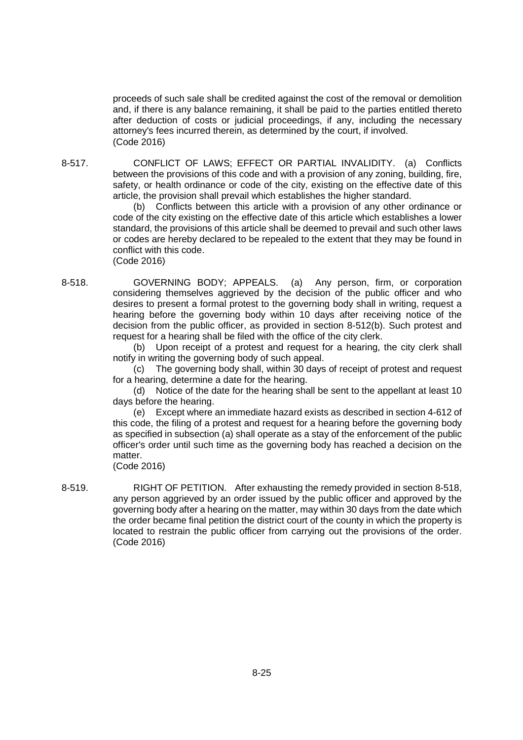proceeds of such sale shall be credited against the cost of the removal or demolition and, if there is any balance remaining, it shall be paid to the parties entitled thereto after deduction of costs or judicial proceedings, if any, including the necessary attorney's fees incurred therein, as determined by the court, if involved. (Code 2016)

8-517. CONFLICT OF LAWS; EFFECT OR PARTIAL INVALIDITY. (a) Conflicts between the provisions of this code and with a provision of any zoning, building, fire, safety, or health ordinance or code of the city, existing on the effective date of this article, the provision shall prevail which establishes the higher standard.

(b) Conflicts between this article with a provision of any other ordinance or code of the city existing on the effective date of this article which establishes a lower standard, the provisions of this article shall be deemed to prevail and such other laws or codes are hereby declared to be repealed to the extent that they may be found in conflict with this code. (Code 2016)

8-518. GOVERNING BODY; APPEALS. (a) Any person, firm, or corporation considering themselves aggrieved by the decision of the public officer and who desires to present a formal protest to the governing body shall in writing, request a hearing before the governing body within 10 days after receiving notice of the decision from the public officer, as provided in section 8-512(b). Such protest and request for a hearing shall be filed with the office of the city clerk.

> (b) Upon receipt of a protest and request for a hearing, the city clerk shall notify in writing the governing body of such appeal.

> (c) The governing body shall, within 30 days of receipt of protest and request for a hearing, determine a date for the hearing.

> (d) Notice of the date for the hearing shall be sent to the appellant at least 10 days before the hearing.

> (e) Except where an immediate hazard exists as described in section 4-612 of this code, the filing of a protest and request for a hearing before the governing body as specified in subsection (a) shall operate as a stay of the enforcement of the public officer's order until such time as the governing body has reached a decision on the matter.

(Code 2016)

8-519. RIGHT OF PETITION. After exhausting the remedy provided in section 8-518, any person aggrieved by an order issued by the public officer and approved by the governing body after a hearing on the matter, may within 30 days from the date which the order became final petition the district court of the county in which the property is located to restrain the public officer from carrying out the provisions of the order. (Code 2016)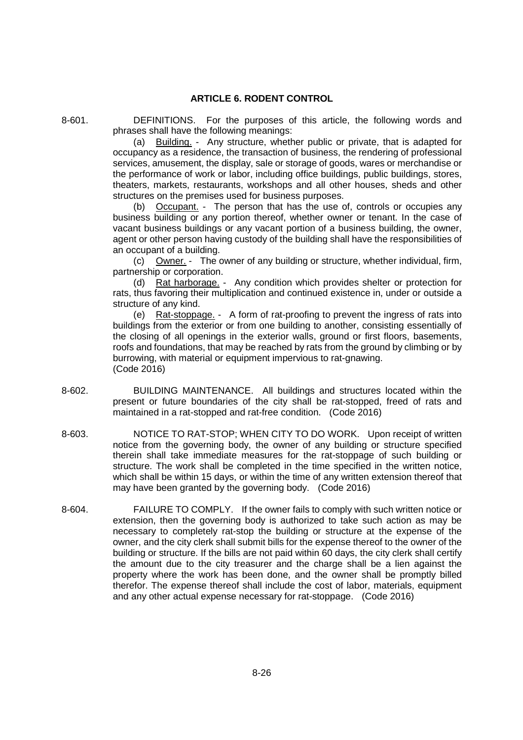## **ARTICLE 6. RODENT CONTROL**

8-601. DEFINITIONS. For the purposes of this article, the following words and phrases shall have the following meanings:

(a) Building. - Any structure, whether public or private, that is adapted for occupancy as a residence, the transaction of business, the rendering of professional services, amusement, the display, sale or storage of goods, wares or merchandise or the performance of work or labor, including office buildings, public buildings, stores, theaters, markets, restaurants, workshops and all other houses, sheds and other structures on the premises used for business purposes.

(b) Occupant. - The person that has the use of, controls or occupies any business building or any portion thereof, whether owner or tenant. In the case of vacant business buildings or any vacant portion of a business building, the owner, agent or other person having custody of the building shall have the responsibilities of an occupant of a building.

(c) Owner. - The owner of any building or structure, whether individual, firm, partnership or corporation.

(d) Rat harborage. - Any condition which provides shelter or protection for rats, thus favoring their multiplication and continued existence in, under or outside a structure of any kind.

(e) Rat-stoppage. - A form of rat-proofing to prevent the ingress of rats into buildings from the exterior or from one building to another, consisting essentially of the closing of all openings in the exterior walls, ground or first floors, basements, roofs and foundations, that may be reached by rats from the ground by climbing or by burrowing, with material or equipment impervious to rat-gnawing. (Code 2016)

- 8-602. BUILDING MAINTENANCE. All buildings and structures located within the present or future boundaries of the city shall be rat-stopped, freed of rats and maintained in a rat-stopped and rat-free condition. (Code 2016)
- 8-603. NOTICE TO RAT-STOP; WHEN CITY TO DO WORK. Upon receipt of written notice from the governing body, the owner of any building or structure specified therein shall take immediate measures for the rat-stoppage of such building or structure. The work shall be completed in the time specified in the written notice, which shall be within 15 days, or within the time of any written extension thereof that may have been granted by the governing body. (Code 2016)
- 8-604. FAILURE TO COMPLY. If the owner fails to comply with such written notice or extension, then the governing body is authorized to take such action as may be necessary to completely rat-stop the building or structure at the expense of the owner, and the city clerk shall submit bills for the expense thereof to the owner of the building or structure. If the bills are not paid within 60 days, the city clerk shall certify the amount due to the city treasurer and the charge shall be a lien against the property where the work has been done, and the owner shall be promptly billed therefor. The expense thereof shall include the cost of labor, materials, equipment and any other actual expense necessary for rat-stoppage. (Code 2016)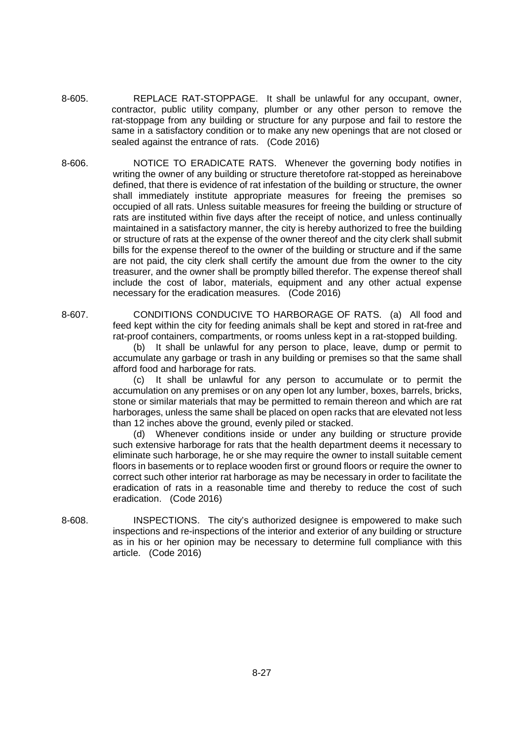- 8-605. REPLACE RAT-STOPPAGE. It shall be unlawful for any occupant, owner, contractor, public utility company, plumber or any other person to remove the rat-stoppage from any building or structure for any purpose and fail to restore the same in a satisfactory condition or to make any new openings that are not closed or sealed against the entrance of rats. (Code 2016)
- 8-606. NOTICE TO ERADICATE RATS. Whenever the governing body notifies in writing the owner of any building or structure theretofore rat-stopped as hereinabove defined, that there is evidence of rat infestation of the building or structure, the owner shall immediately institute appropriate measures for freeing the premises so occupied of all rats. Unless suitable measures for freeing the building or structure of rats are instituted within five days after the receipt of notice, and unless continually maintained in a satisfactory manner, the city is hereby authorized to free the building or structure of rats at the expense of the owner thereof and the city clerk shall submit bills for the expense thereof to the owner of the building or structure and if the same are not paid, the city clerk shall certify the amount due from the owner to the city treasurer, and the owner shall be promptly billed therefor. The expense thereof shall include the cost of labor, materials, equipment and any other actual expense necessary for the eradication measures. (Code 2016)
- 8-607. CONDITIONS CONDUCIVE TO HARBORAGE OF RATS. (a) All food and feed kept within the city for feeding animals shall be kept and stored in rat-free and rat-proof containers, compartments, or rooms unless kept in a rat-stopped building.

(b) It shall be unlawful for any person to place, leave, dump or permit to accumulate any garbage or trash in any building or premises so that the same shall afford food and harborage for rats.

(c) It shall be unlawful for any person to accumulate or to permit the accumulation on any premises or on any open lot any lumber, boxes, barrels, bricks, stone or similar materials that may be permitted to remain thereon and which are rat harborages, unless the same shall be placed on open racks that are elevated not less than 12 inches above the ground, evenly piled or stacked.

(d) Whenever conditions inside or under any building or structure provide such extensive harborage for rats that the health department deems it necessary to eliminate such harborage, he or she may require the owner to install suitable cement floors in basements or to replace wooden first or ground floors or require the owner to correct such other interior rat harborage as may be necessary in order to facilitate the eradication of rats in a reasonable time and thereby to reduce the cost of such eradication. (Code 2016)

8-608. INSPECTIONS. The city's authorized designee is empowered to make such inspections and re-inspections of the interior and exterior of any building or structure as in his or her opinion may be necessary to determine full compliance with this article. (Code 2016)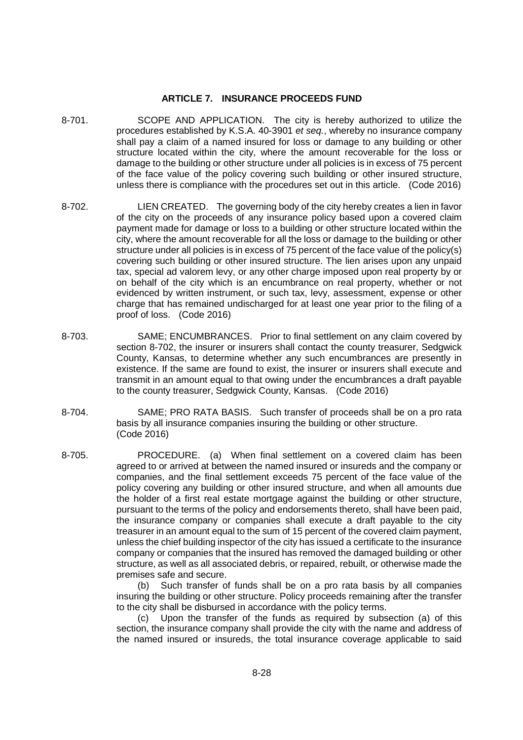#### **ARTICLE 7. INSURANCE PROCEEDS FUND**

- 8-701. SCOPE AND APPLICATION. The city is hereby authorized to utilize the procedures established by K.S.A. 40-3901 *et seq.*, whereby no insurance company shall pay a claim of a named insured for loss or damage to any building or other structure located within the city, where the amount recoverable for the loss or damage to the building or other structure under all policies is in excess of 75 percent of the face value of the policy covering such building or other insured structure, unless there is compliance with the procedures set out in this article. (Code 2016)
- 8-702. LIEN CREATED. The governing body of the city hereby creates a lien in favor of the city on the proceeds of any insurance policy based upon a covered claim payment made for damage or loss to a building or other structure located within the city, where the amount recoverable for all the loss or damage to the building or other structure under all policies is in excess of 75 percent of the face value of the policy(s) covering such building or other insured structure. The lien arises upon any unpaid tax, special ad valorem levy, or any other charge imposed upon real property by or on behalf of the city which is an encumbrance on real property, whether or not evidenced by written instrument, or such tax, levy, assessment, expense or other charge that has remained undischarged for at least one year prior to the filing of a proof of loss. (Code 2016)
- 8-703. SAME; ENCUMBRANCES. Prior to final settlement on any claim covered by section 8-702, the insurer or insurers shall contact the county treasurer, Sedgwick County, Kansas, to determine whether any such encumbrances are presently in existence. If the same are found to exist, the insurer or insurers shall execute and transmit in an amount equal to that owing under the encumbrances a draft payable to the county treasurer, Sedgwick County, Kansas. (Code 2016)
- 8-704. SAME; PRO RATA BASIS. Such transfer of proceeds shall be on a pro rata basis by all insurance companies insuring the building or other structure. (Code 2016)
- 8-705. PROCEDURE. (a) When final settlement on a covered claim has been agreed to or arrived at between the named insured or insureds and the company or companies, and the final settlement exceeds 75 percent of the face value of the policy covering any building or other insured structure, and when all amounts due the holder of a first real estate mortgage against the building or other structure, pursuant to the terms of the policy and endorsements thereto, shall have been paid, the insurance company or companies shall execute a draft payable to the city treasurer in an amount equal to the sum of 15 percent of the covered claim payment, unless the chief building inspector of the city has issued a certificate to the insurance company or companies that the insured has removed the damaged building or other structure, as well as all associated debris, or repaired, rebuilt, or otherwise made the premises safe and secure.

(b) Such transfer of funds shall be on a pro rata basis by all companies insuring the building or other structure. Policy proceeds remaining after the transfer to the city shall be disbursed in accordance with the policy terms.

(c) Upon the transfer of the funds as required by subsection (a) of this section, the insurance company shall provide the city with the name and address of the named insured or insureds, the total insurance coverage applicable to said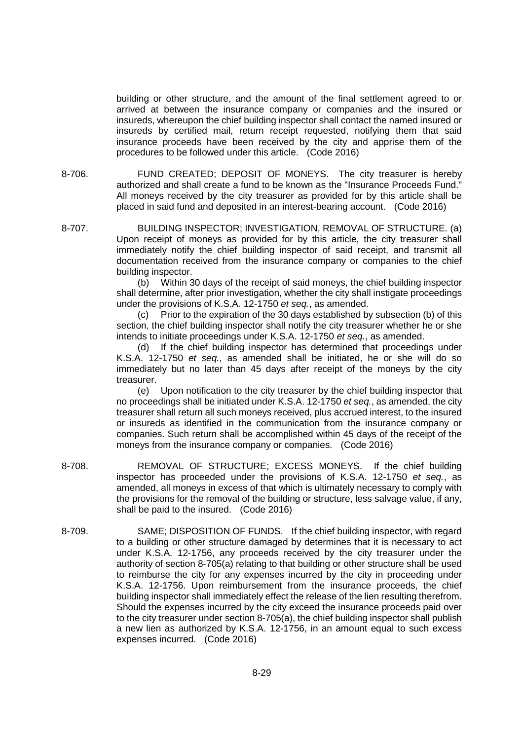building or other structure, and the amount of the final settlement agreed to or arrived at between the insurance company or companies and the insured or insureds, whereupon the chief building inspector shall contact the named insured or insureds by certified mail, return receipt requested, notifying them that said insurance proceeds have been received by the city and apprise them of the procedures to be followed under this article. (Code 2016)

- 8-706. FUND CREATED; DEPOSIT OF MONEYS. The city treasurer is hereby authorized and shall create a fund to be known as the "Insurance Proceeds Fund." All moneys received by the city treasurer as provided for by this article shall be placed in said fund and deposited in an interest-bearing account. (Code 2016)
- 8-707. BUILDING INSPECTOR; INVESTIGATION, REMOVAL OF STRUCTURE. (a) Upon receipt of moneys as provided for by this article, the city treasurer shall immediately notify the chief building inspector of said receipt, and transmit all documentation received from the insurance company or companies to the chief building inspector.

(b) Within 30 days of the receipt of said moneys, the chief building inspector shall determine, after prior investigation, whether the city shall instigate proceedings under the provisions of K.S.A. 12-1750 *et seq.*, as amended.

(c) Prior to the expiration of the 30 days established by subsection (b) of this section, the chief building inspector shall notify the city treasurer whether he or she intends to initiate proceedings under K.S.A. 12-1750 *et seq.*, as amended.

(d) If the chief building inspector has determined that proceedings under K.S.A. 12-1750 *et seq.*, as amended shall be initiated, he or she will do so immediately but no later than 45 days after receipt of the moneys by the city treasurer.

(e) Upon notification to the city treasurer by the chief building inspector that no proceedings shall be initiated under K.S.A. 12-1750 *et seq.*, as amended, the city treasurer shall return all such moneys received, plus accrued interest, to the insured or insureds as identified in the communication from the insurance company or companies. Such return shall be accomplished within 45 days of the receipt of the moneys from the insurance company or companies. (Code 2016)

- 8-708. REMOVAL OF STRUCTURE; EXCESS MONEYS. If the chief building inspector has proceeded under the provisions of K.S.A. 12-1750 *et seq.*, as amended, all moneys in excess of that which is ultimately necessary to comply with the provisions for the removal of the building or structure, less salvage value, if any, shall be paid to the insured. (Code 2016)
- 8-709. SAME; DISPOSITION OF FUNDS. If the chief building inspector, with regard to a building or other structure damaged by determines that it is necessary to act under K.S.A. 12-1756, any proceeds received by the city treasurer under the authority of section 8-705(a) relating to that building or other structure shall be used to reimburse the city for any expenses incurred by the city in proceeding under K.S.A. 12-1756. Upon reimbursement from the insurance proceeds, the chief building inspector shall immediately effect the release of the lien resulting therefrom. Should the expenses incurred by the city exceed the insurance proceeds paid over to the city treasurer under section 8-705(a), the chief building inspector shall publish a new lien as authorized by K.S.A. 12-1756, in an amount equal to such excess expenses incurred. (Code 2016)